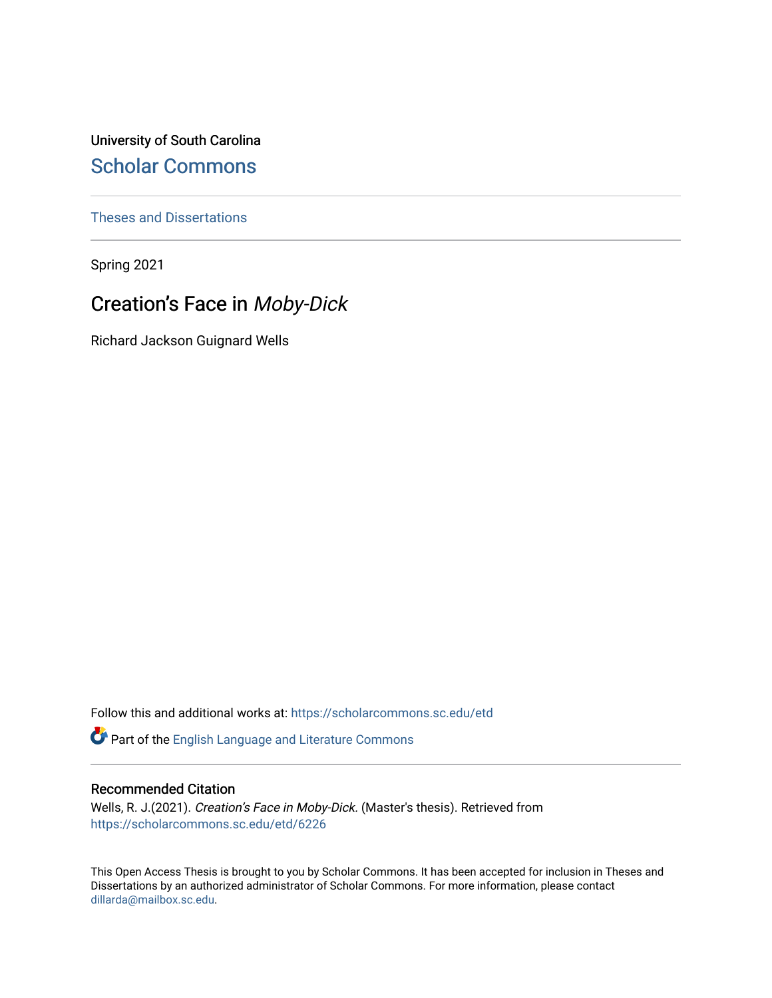University of South Carolina [Scholar Commons](https://scholarcommons.sc.edu/) 

[Theses and Dissertations](https://scholarcommons.sc.edu/etd)

Spring 2021

# Creation's Face in Moby-Dick

Richard Jackson Guignard Wells

Follow this and additional works at: [https://scholarcommons.sc.edu/etd](https://scholarcommons.sc.edu/etd?utm_source=scholarcommons.sc.edu%2Fetd%2F6226&utm_medium=PDF&utm_campaign=PDFCoverPages)

Part of the [English Language and Literature Commons](http://network.bepress.com/hgg/discipline/455?utm_source=scholarcommons.sc.edu%2Fetd%2F6226&utm_medium=PDF&utm_campaign=PDFCoverPages)

#### Recommended Citation

Wells, R. J.(2021). Creation's Face in Moby-Dick. (Master's thesis). Retrieved from [https://scholarcommons.sc.edu/etd/6226](https://scholarcommons.sc.edu/etd/6226?utm_source=scholarcommons.sc.edu%2Fetd%2F6226&utm_medium=PDF&utm_campaign=PDFCoverPages) 

This Open Access Thesis is brought to you by Scholar Commons. It has been accepted for inclusion in Theses and Dissertations by an authorized administrator of Scholar Commons. For more information, please contact [dillarda@mailbox.sc.edu](mailto:dillarda@mailbox.sc.edu).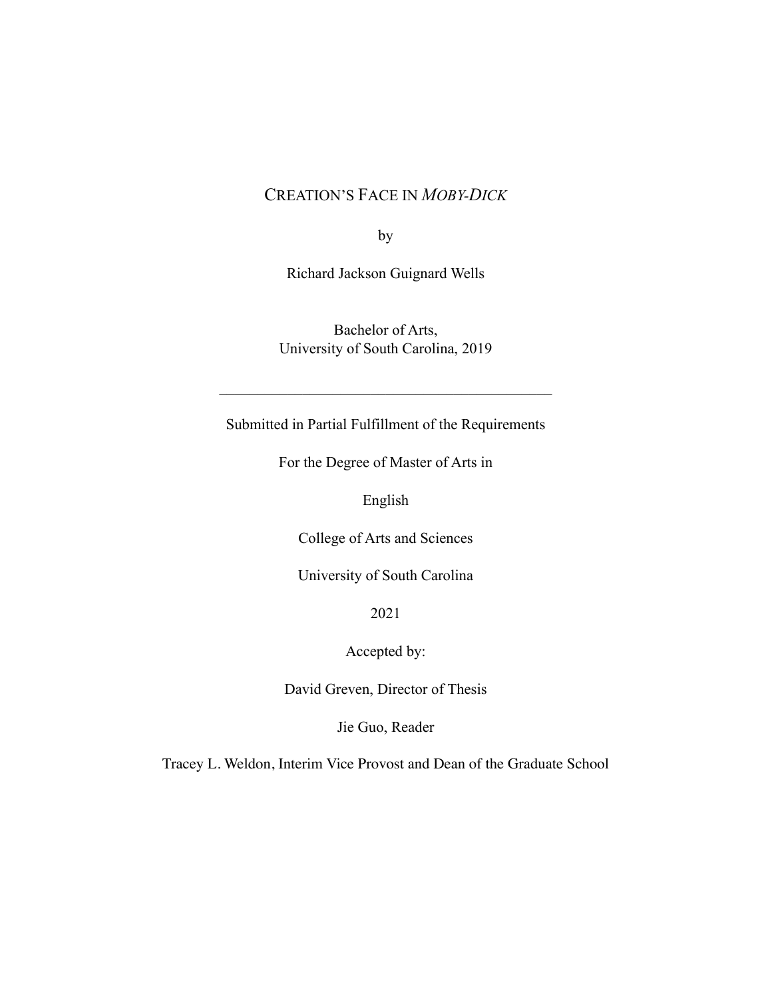# CREATION'S FACE IN *MOBY-DICK*

by

Richard Jackson Guignard Wells

Bachelor of Arts, University of South Carolina, 2019

 $\mathcal{L}_\text{max}$  , and the contract of the contract of the contract of the contract of the contract of the contract of the contract of the contract of the contract of the contract of the contract of the contract of the contr

Submitted in Partial Fulfillment of the Requirements

For the Degree of Master of Arts in

English

College of Arts and Sciences

University of South Carolina

2021

Accepted by:

David Greven, Director of Thesis

Jie Guo, Reader

Tracey L. Weldon, Interim Vice Provost and Dean of the Graduate School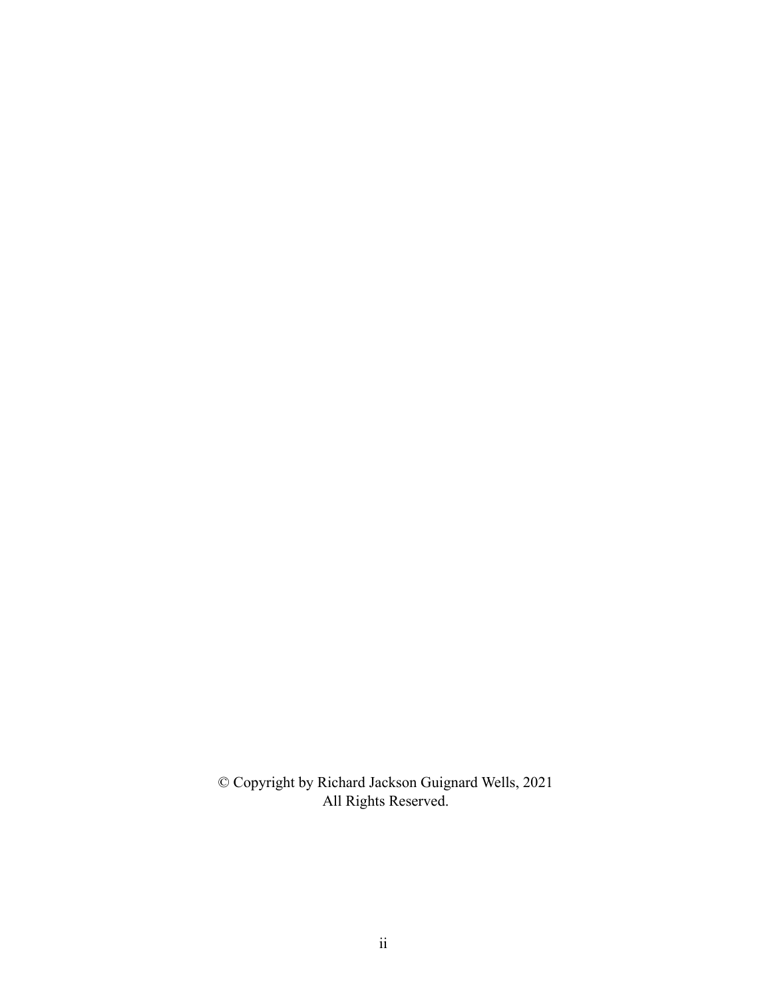© Copyright by Richard Jackson Guignard Wells, 2021 All Rights Reserved.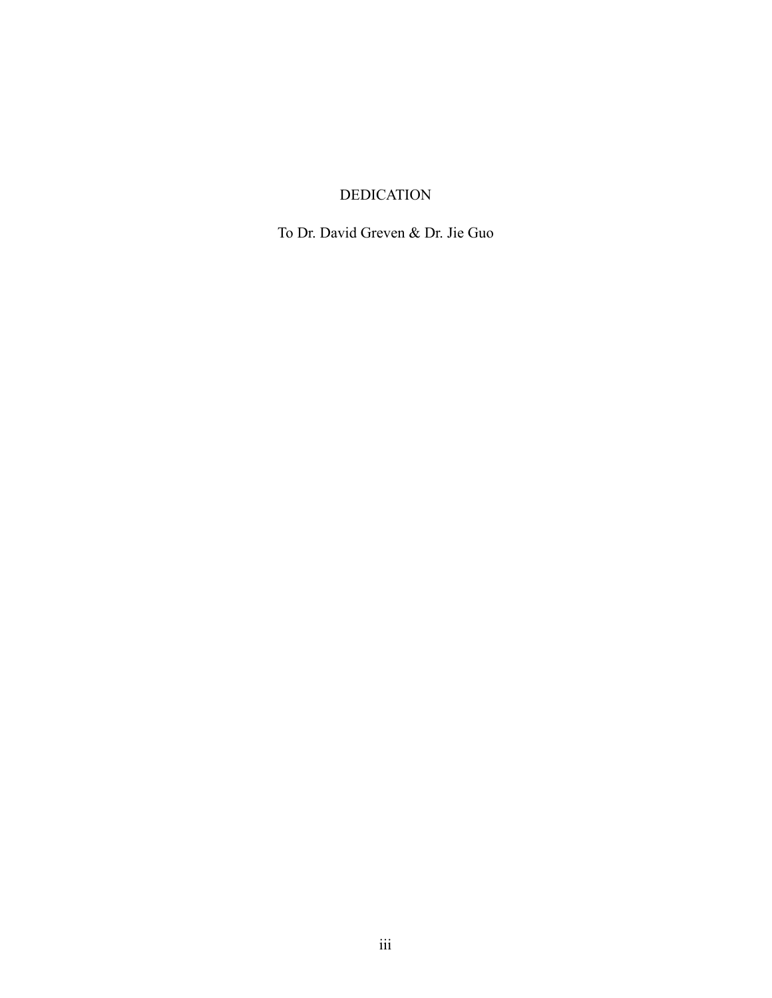### DEDICATION

To Dr. David Greven & Dr. Jie Guo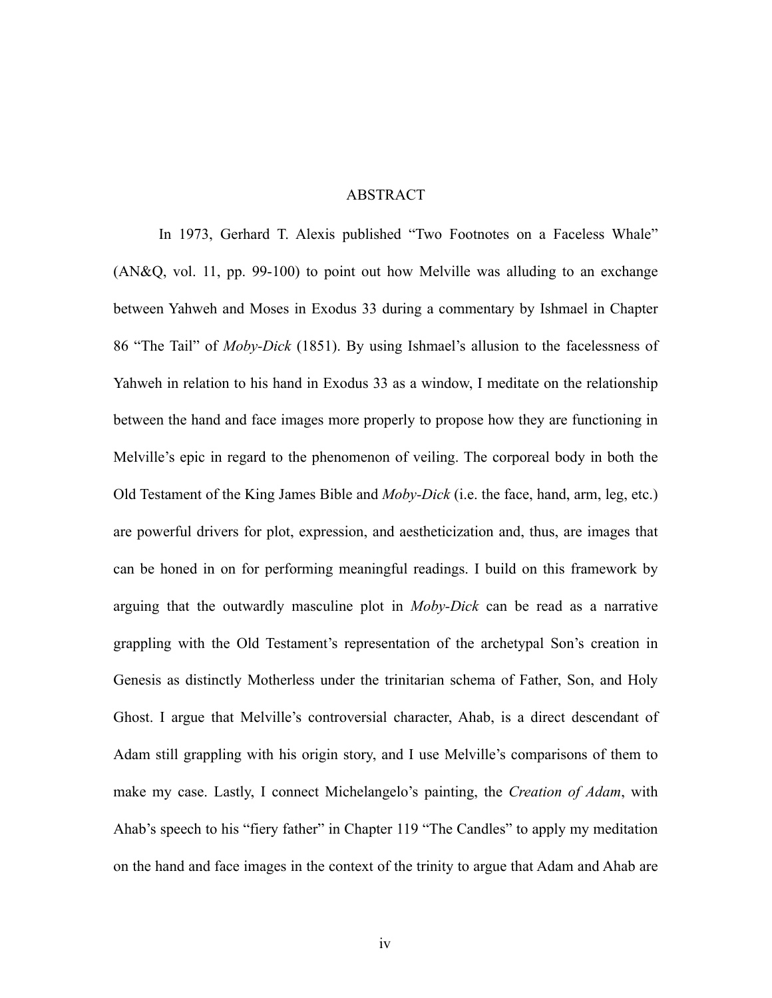#### ABSTRACT

In 1973, Gerhard T. Alexis published "Two Footnotes on a Faceless Whale" (AN&Q, vol. 11, pp. 99-100) to point out how Melville was alluding to an exchange between Yahweh and Moses in Exodus 33 during a commentary by Ishmael in Chapter 86 "The Tail" of *Moby-Dick* (1851). By using Ishmael's allusion to the facelessness of Yahweh in relation to his hand in Exodus 33 as a window, I meditate on the relationship between the hand and face images more properly to propose how they are functioning in Melville's epic in regard to the phenomenon of veiling. The corporeal body in both the Old Testament of the King James Bible and *Moby-Dick* (i.e. the face, hand, arm, leg, etc.) are powerful drivers for plot, expression, and aestheticization and, thus, are images that can be honed in on for performing meaningful readings. I build on this framework by arguing that the outwardly masculine plot in *Moby-Dick* can be read as a narrative grappling with the Old Testament's representation of the archetypal Son's creation in Genesis as distinctly Motherless under the trinitarian schema of Father, Son, and Holy Ghost. I argue that Melville's controversial character, Ahab, is a direct descendant of Adam still grappling with his origin story, and I use Melville's comparisons of them to make my case. Lastly, I connect Michelangelo's painting, the *Creation of Adam*, with Ahab's speech to his "fiery father" in Chapter 119 "The Candles" to apply my meditation on the hand and face images in the context of the trinity to argue that Adam and Ahab are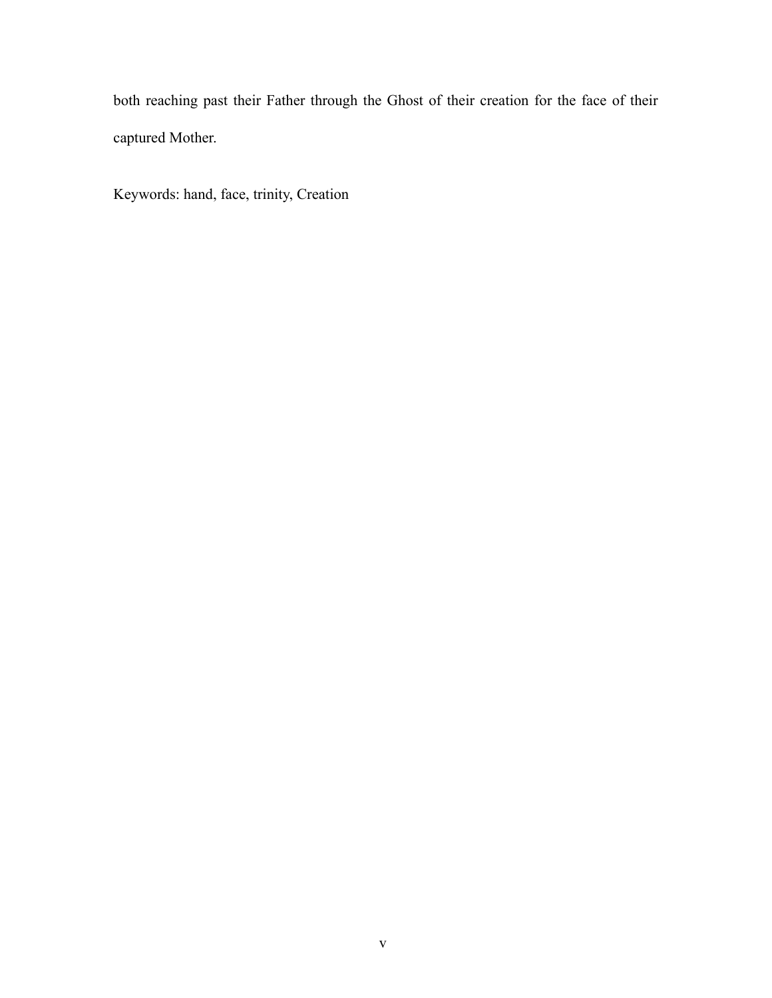both reaching past their Father through the Ghost of their creation for the face of their captured Mother.

Keywords: hand, face, trinity, Creation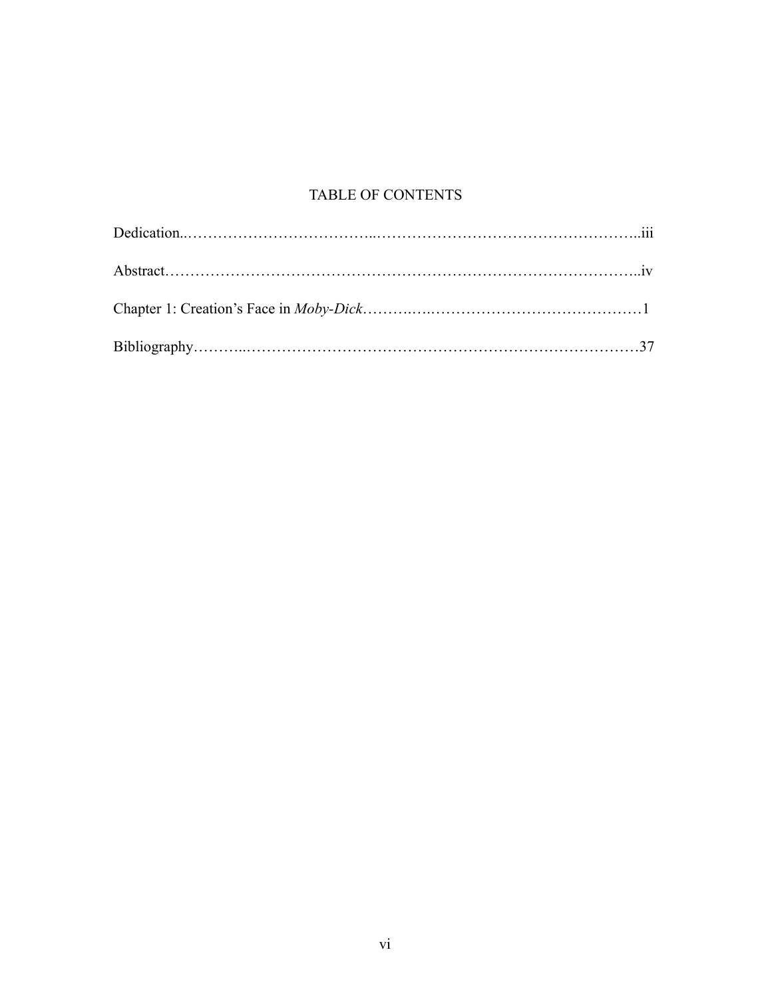# TABLE OF CONTENTS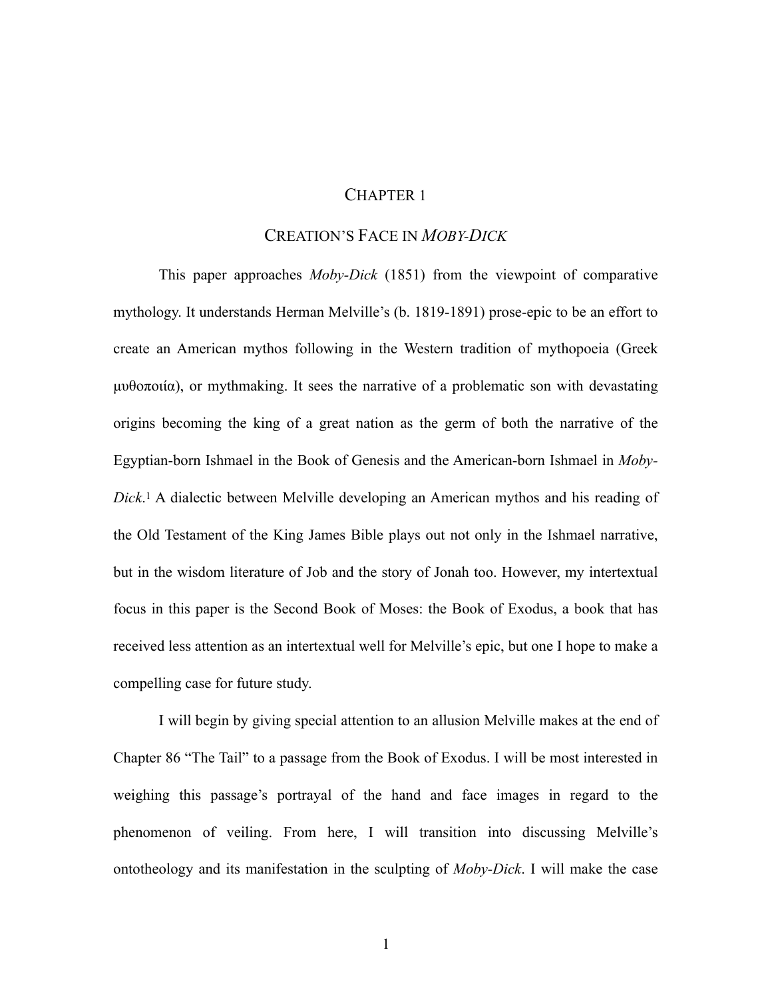### CHAPTER 1

### CREATION'S FACE IN *MOBY-DICK*

<span id="page-7-0"></span>This paper approaches *Moby-Dick* (1851) from the viewpoint of comparative mythology. It understands Herman Melville's (b. 1819-1891) prose-epic to be an effort to create an American mythos following in the Western tradition of mythopoeia (Greek µυθοποιία), or mythmaking. It sees the narrative of a problematic son with devastating origins becoming the king of a great nation as the germ of both the narrative of the Egyptian-born Ishmael in the Book of Genesis and the American-born Ishmael in *Moby-* $Dick$ <sup>1</sup>A dialectic between Melville developing an American mythos and his reading of the Old Testament of the King James Bible plays out not only in the Ishmael narrative, but in the wisdom literature of Job and the story of Jonah too. However, my intertextual focus in this paper is the Second Book of Moses: the Book of Exodus, a book that has received less attention as an intertextual well for Melville's epic, but one I hope to make a compelling case for future study.

I will begin by giving special attention to an allusion Melville makes at the end of Chapter 86 "The Tail" to a passage from the Book of Exodus. I will be most interested in weighing this passage's portrayal of the hand and face images in regard to the phenomenon of veiling. From here, I will transition into discussing Melville's ontotheology and its manifestation in the sculpting of *Moby-Dick*. I will make the case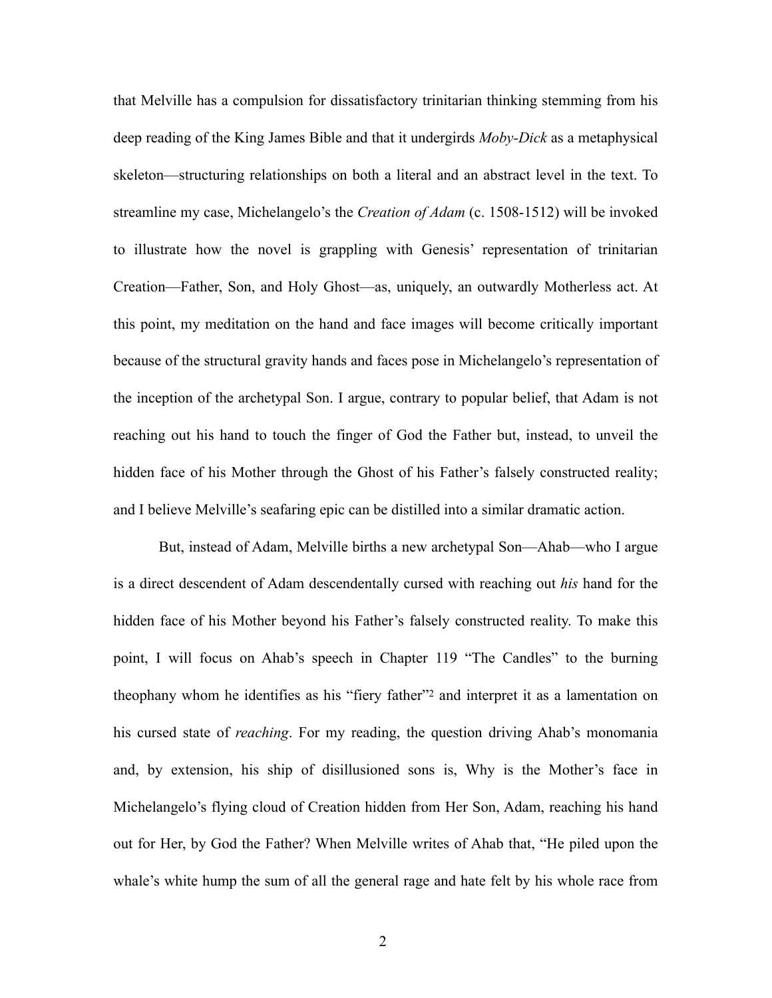that Melville has a compulsion for dissatisfactory trinitarian thinking stemming from his deep reading of the King James Bible and that it undergirds *Moby-Dick* as a metaphysical skeleton—structuring relationships on both a literal and an abstract level in the text. To streamline my case, Michelangelo's the *Creation of Adam* (c. 1508-1512) will be invoked to illustrate how the novel is grappling with Genesis' representation of trinitarian Creation—Father, Son, and Holy Ghost—as, uniquely, an outwardly Motherless act. At this point, my meditation on the hand and face images will become critically important because of the structural gravity hands and faces pose in Michelangelo's representation of the inception of the archetypal Son. I argue, contrary to popular belief, that Adam is not reaching out his hand to touch the finger of God the Father but, instead, to unveil the hidden face of his Mother through the Ghost of his Father's falsely constructed reality; and I believe Melville's seafaring epic can be distilled into a similar dramatic action.

<span id="page-8-0"></span>But, instead of Adam, Melville births a new archetypal Son—Ahab—who I argue is a direct descendent of Adam descendentally cursed with reaching out *his* hand for the hidden face of his Mother beyond his Father's falsely constructed reality. To make this point, I will focus on Ahab's speech in Chapter 119 "The Candles" to the burning theophany whom he identifies as his ["](#page-40-1)fiery father"<sup>[2](#page-40-1)</sup> and interpret it as a lamentation on his cursed state of *reaching*. For my reading, the question driving Ahab's monomania and, by extension, his ship of disillusioned sons is, Why is the Mother's face in Michelangelo's flying cloud of Creation hidden from Her Son, Adam, reaching his hand out for Her, by God the Father? When Melville writes of Ahab that, "He piled upon the whale's white hump the sum of all the general rage and hate felt by his whole race from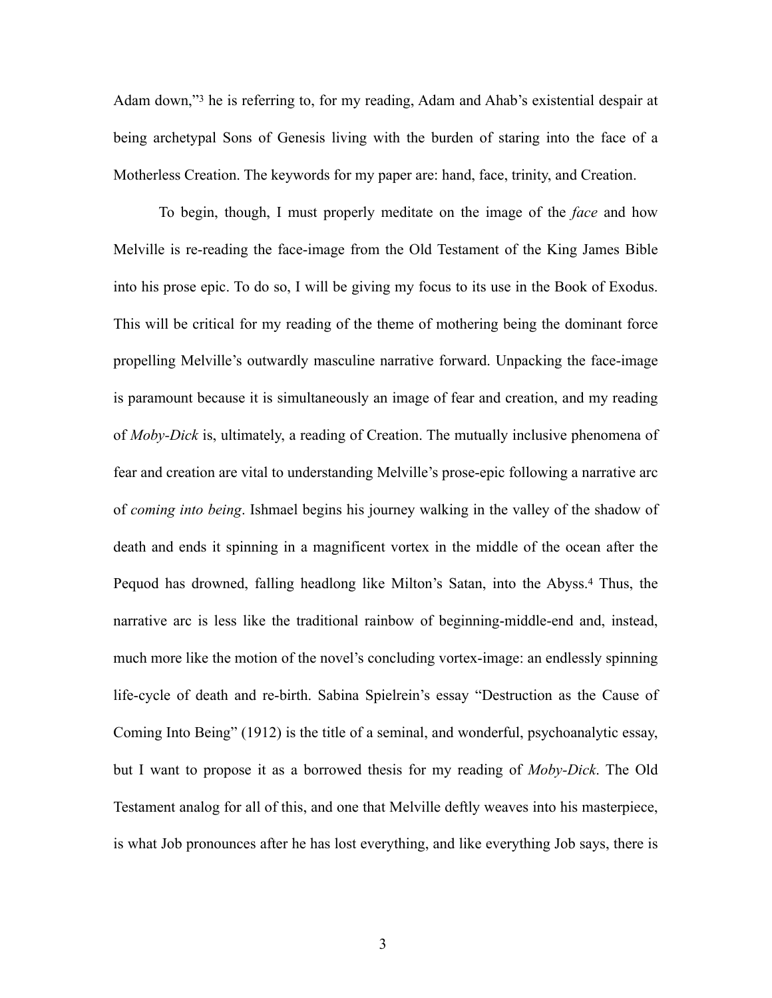<span id="page-9-0"></span>Adamdown,"<sup>[3](#page-40-2)</sup> he is referring to, for my reading, Adam and Ahab's existential despair at being archetypal Sons of Genesis living with the burden of staring into the face of a Motherless Creation. The keywords for my paper are: hand, face, trinity, and Creation.

<span id="page-9-1"></span>To begin, though, I must properly meditate on the image of the *face* and how Melville is re-reading the face-image from the Old Testament of the King James Bible into his prose epic. To do so, I will be giving my focus to its use in the Book of Exodus. This will be critical for my reading of the theme of mothering being the dominant force propelling Melville's outwardly masculine narrative forward. Unpacking the face-image is paramount because it is simultaneously an image of fear and creation, and my reading of *Moby-Dick* is, ultimately, a reading of Creation. The mutually inclusive phenomena of fear and creation are vital to understanding Melville's prose-epic following a narrative arc of *coming into being*. Ishmael begins his journey walking in the valley of the shadow of death and ends it spinning in a magnificent vortex in the middle of the ocean after the Pequod has drowned, falling headlong like Milton's Satan, into the Abyss[.](#page-40-3)<sup>[4](#page-40-3)</sup> Thus, the narrative arc is less like the traditional rainbow of beginning-middle-end and, instead, much more like the motion of the novel's concluding vortex-image: an endlessly spinning life-cycle of death and re-birth. Sabina Spielrein's essay "Destruction as the Cause of Coming Into Being" (1912) is the title of a seminal, and wonderful, psychoanalytic essay, but I want to propose it as a borrowed thesis for my reading of *Moby-Dick*. The Old Testament analog for all of this, and one that Melville deftly weaves into his masterpiece, is what Job pronounces after he has lost everything, and like everything Job says, there is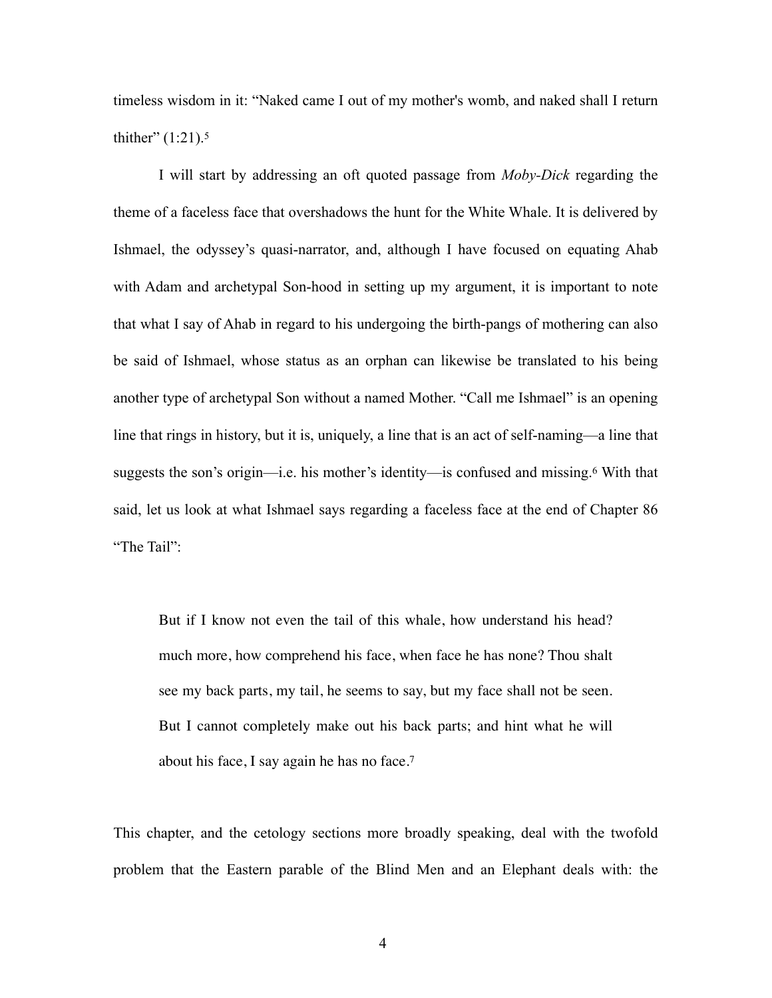<span id="page-10-0"></span>timeless wisdom in it: "Naked came I out of my mother's womb, and naked shall I return thither"  $(1:21).5$  $(1:21).5$ 

I will start by addressing an oft quoted passage from *Moby-Dick* regarding the theme of a faceless face that overshadows the hunt for the White Whale. It is delivered by Ishmael, the odyssey's quasi-narrator, and, although I have focused on equating Ahab with Adam and archetypal Son-hood in setting up my argument, it is important to note that what I say of Ahab in regard to his undergoing the birth-pangs of mothering can also be said of Ishmael, whose status as an orphan can likewise be translated to his being another type of archetypal Son without a named Mother. "Call me Ishmael" is an opening line that rings in history, but it is, uniquely, a line that is an act of self-naming—a line that suggeststhe son's origin—i.e. his mother's identity—is confused and missing.<sup>[6](#page-40-5)</sup> With that said, let us look at what Ishmael says regarding a faceless face at the end of Chapter 86 "The Tail":

<span id="page-10-2"></span><span id="page-10-1"></span>But if I know not even the tail of this whale, how understand his head? much more, how comprehend his face, when face he has none? Thou shalt see my back parts, my tail, he seems to say, but my face shall not be seen. But I cannot completely make out his back parts; and hint what he will about his face, I say again he has no face.[7](#page-40-6)

This chapter, and the cetology sections more broadly speaking, deal with the twofold problem that the Eastern parable of the Blind Men and an Elephant deals with: the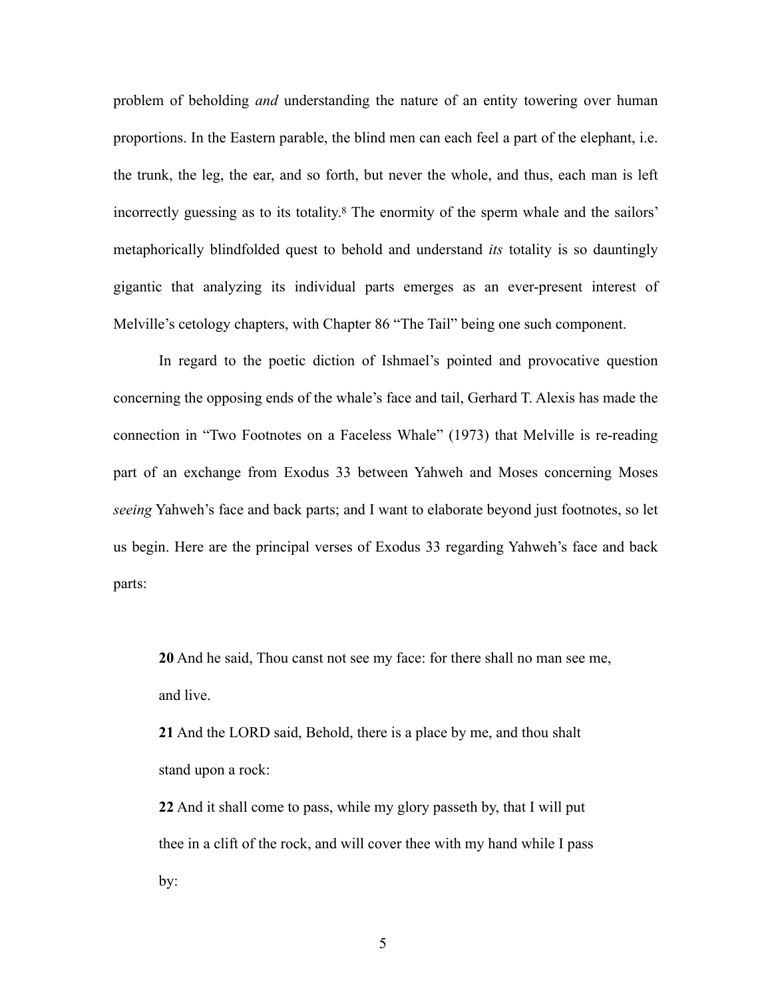<span id="page-11-0"></span>problem of beholding *and* understanding the nature of an entity towering over human proportions. In the Eastern parable, the blind men can each feel a part of the elephant, i.e. the trunk, the leg, the ear, and so forth, but never the whole, and thus, each man is left incorrectlyguessing as to its totality.<sup>[8](#page-40-7)</sup> The enormity of the sperm whale and the sailors' metaphorically blindfolded quest to behold and understand *its* totality is so dauntingly gigantic that analyzing its individual parts emerges as an ever-present interest of Melville's cetology chapters, with Chapter 86 "The Tail" being one such component.

In regard to the poetic diction of Ishmael's pointed and provocative question concerning the opposing ends of the whale's face and tail, Gerhard T. Alexis has made the connection in "Two Footnotes on a Faceless Whale" (1973) that Melville is re-reading part of an exchange from Exodus 33 between Yahweh and Moses concerning Moses *seeing* Yahweh's face and back parts; and I want to elaborate beyond just footnotes, so let us begin. Here are the principal verses of Exodus 33 regarding Yahweh's face and back parts:

**20** And he said, Thou canst not see my face: for there shall no man see me, and live.

**21** And the LORD said, Behold, there is a place by me, and thou shalt stand upon a rock:

**22** And it shall come to pass, while my glory passeth by, that I will put thee in a clift of the rock, and will cover thee with my hand while I pass by:

5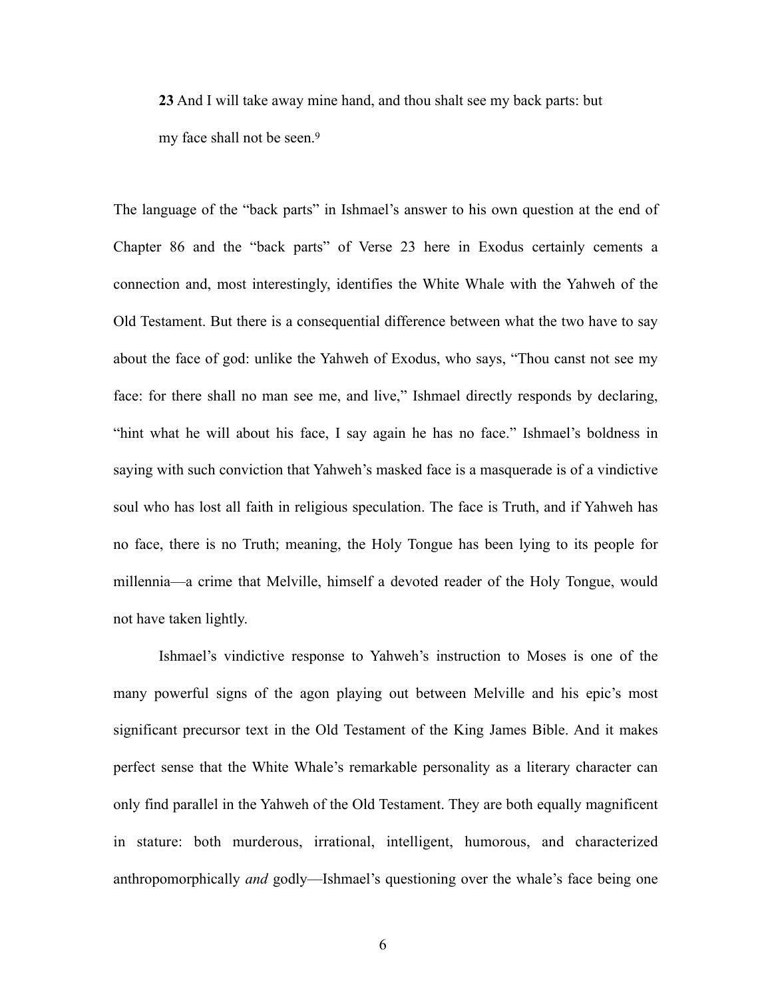<span id="page-12-0"></span>**23** And I will take away mine hand, and thou shalt see my back parts: but my face shall not be seen.[9](#page-40-8)

The language of the "back parts" in Ishmael's answer to his own question at the end of Chapter 86 and the "back parts" of Verse 23 here in Exodus certainly cements a connection and, most interestingly, identifies the White Whale with the Yahweh of the Old Testament. But there is a consequential difference between what the two have to say about the face of god: unlike the Yahweh of Exodus, who says, "Thou canst not see my face: for there shall no man see me, and live," Ishmael directly responds by declaring, "hint what he will about his face, I say again he has no face." Ishmael's boldness in saying with such conviction that Yahweh's masked face is a masquerade is of a vindictive soul who has lost all faith in religious speculation. The face is Truth, and if Yahweh has no face, there is no Truth; meaning, the Holy Tongue has been lying to its people for millennia—a crime that Melville, himself a devoted reader of the Holy Tongue, would not have taken lightly.

Ishmael's vindictive response to Yahweh's instruction to Moses is one of the many powerful signs of the agon playing out between Melville and his epic's most significant precursor text in the Old Testament of the King James Bible. And it makes perfect sense that the White Whale's remarkable personality as a literary character can only find parallel in the Yahweh of the Old Testament. They are both equally magnificent in stature: both murderous, irrational, intelligent, humorous, and characterized anthropomorphically *and* godly—Ishmael's questioning over the whale's face being one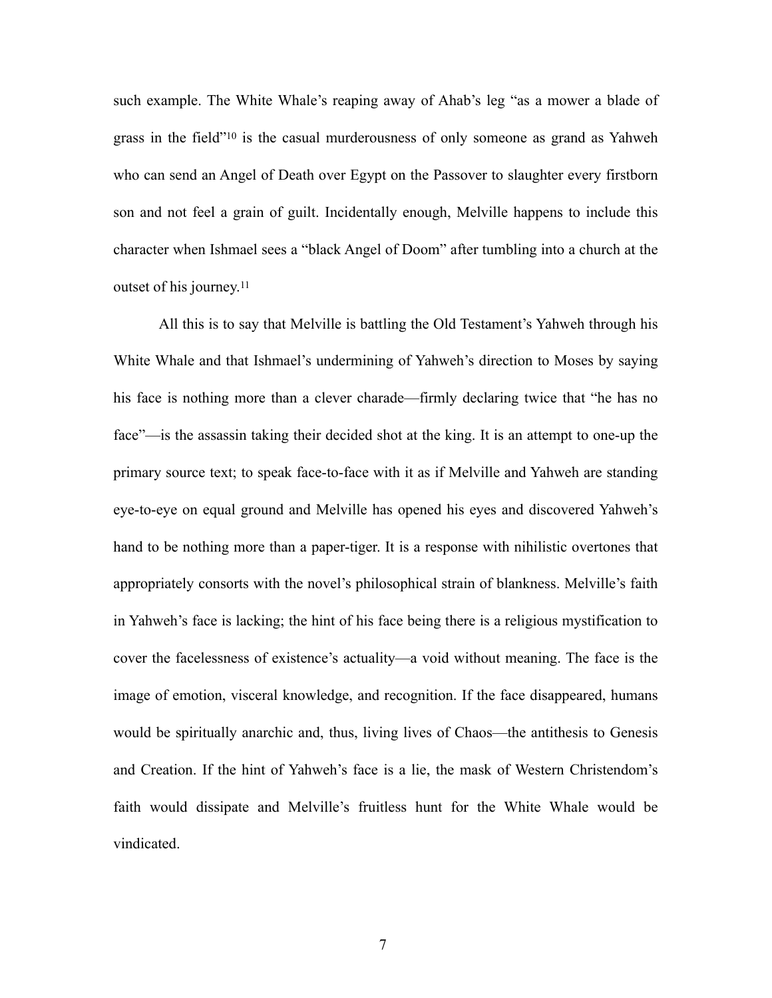<span id="page-13-0"></span>such example. The White Whale's reaping away of Ahab's leg "as a mower a blade of grassin the field" $10$  is the casual murderousness of only someone as grand as Yahweh who can send an Angel of Death over Egypt on the Passover to slaughter every firstborn son and not feel a grain of guilt. Incidentally enough, Melville happens to include this character when Ishmael sees a "black Angel of Doom" after tumbling into a church at the outset of his journey.[11](#page-40-10)

<span id="page-13-1"></span>All this is to say that Melville is battling the Old Testament's Yahweh through his White Whale and that Ishmael's undermining of Yahweh's direction to Moses by saying his face is nothing more than a clever charade—firmly declaring twice that "he has no face"—is the assassin taking their decided shot at the king. It is an attempt to one-up the primary source text; to speak face-to-face with it as if Melville and Yahweh are standing eye-to-eye on equal ground and Melville has opened his eyes and discovered Yahweh's hand to be nothing more than a paper-tiger. It is a response with nihilistic overtones that appropriately consorts with the novel's philosophical strain of blankness. Melville's faith in Yahweh's face is lacking; the hint of his face being there is a religious mystification to cover the facelessness of existence's actuality—a void without meaning. The face is the image of emotion, visceral knowledge, and recognition. If the face disappeared, humans would be spiritually anarchic and, thus, living lives of Chaos—the antithesis to Genesis and Creation. If the hint of Yahweh's face is a lie, the mask of Western Christendom's faith would dissipate and Melville's fruitless hunt for the White Whale would be vindicated.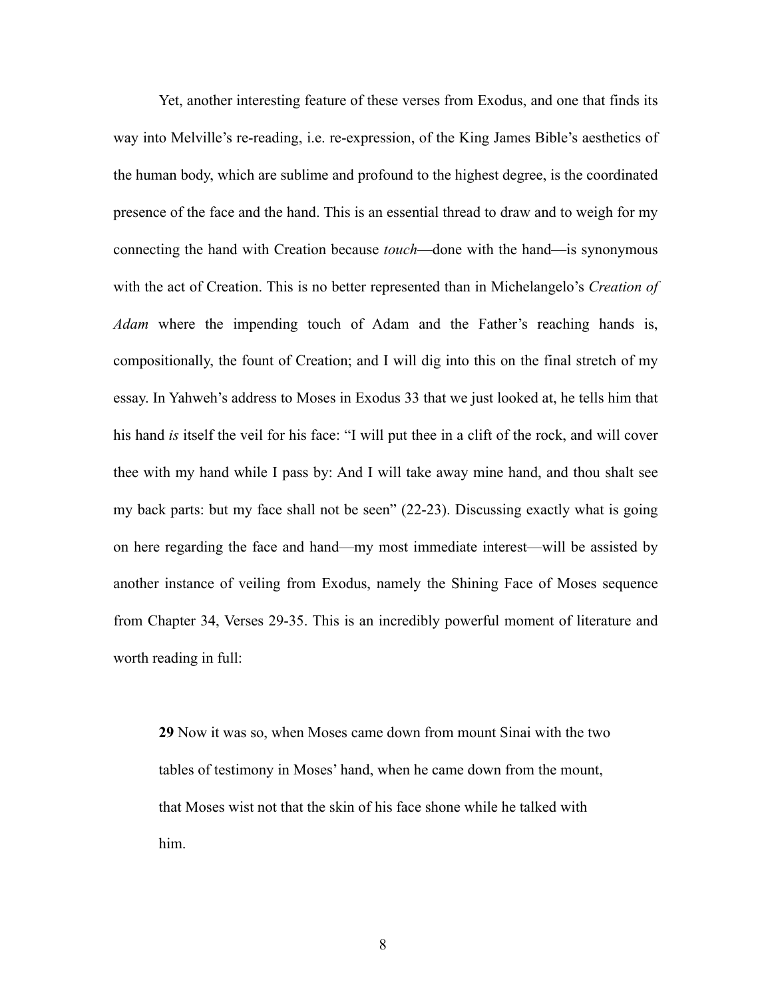Yet, another interesting feature of these verses from Exodus, and one that finds its way into Melville's re-reading, i.e. re-expression, of the King James Bible's aesthetics of the human body, which are sublime and profound to the highest degree, is the coordinated presence of the face and the hand. This is an essential thread to draw and to weigh for my connecting the hand with Creation because *touch*—done with the hand—is synonymous with the act of Creation. This is no better represented than in Michelangelo's *Creation of Adam* where the impending touch of Adam and the Father's reaching hands is, compositionally, the fount of Creation; and I will dig into this on the final stretch of my essay. In Yahweh's address to Moses in Exodus 33 that we just looked at, he tells him that his hand *is* itself the veil for his face: "I will put thee in a clift of the rock, and will cover thee with my hand while I pass by: And I will take away mine hand, and thou shalt see my back parts: but my face shall not be seen" (22-23). Discussing exactly what is going on here regarding the face and hand—my most immediate interest—will be assisted by another instance of veiling from Exodus, namely the Shining Face of Moses sequence from Chapter 34, Verses 29-35. This is an incredibly powerful moment of literature and worth reading in full:

**29** Now it was so, when Moses came down from mount Sinai with the two tables of testimony in Moses' hand, when he came down from the mount, that Moses wist not that the skin of his face shone while he talked with him.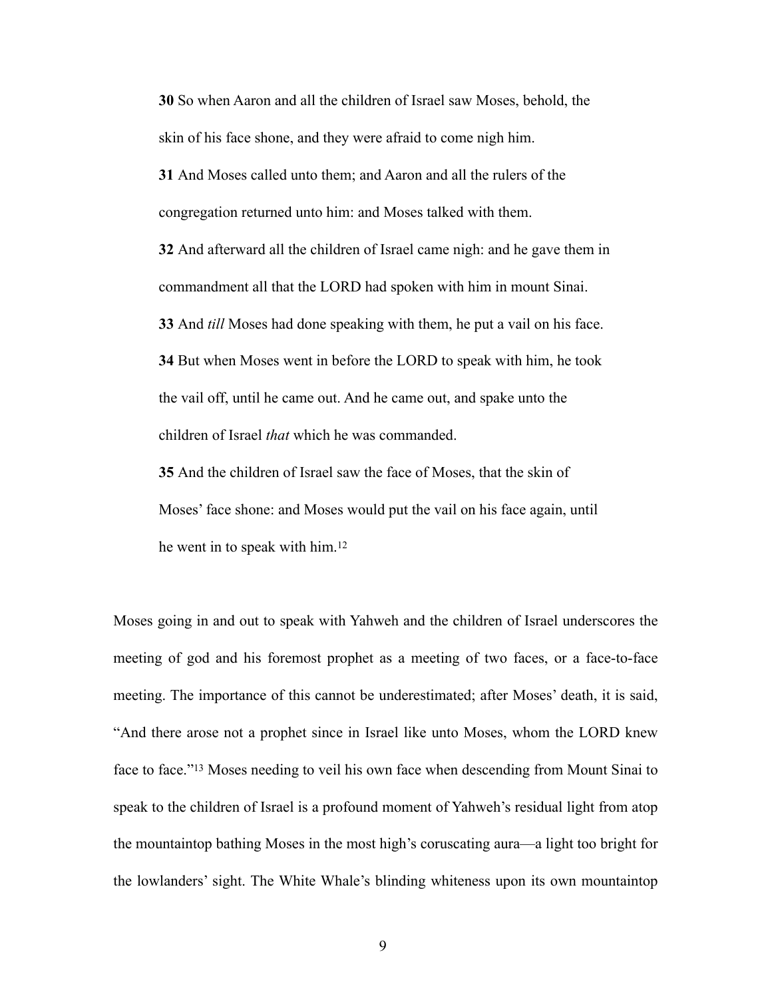**30** So when Aaron and all the children of Israel saw Moses, behold, the skin of his face shone, and they were afraid to come nigh him.

**31** And Moses called unto them; and Aaron and all the rulers of the congregation returned unto him: and Moses talked with them.

**32** And afterward all the children of Israel came nigh: and he gave them in commandment all that the LORD had spoken with him in mount Sinai. **33** And *till* Moses had done speaking with them, he put a vail on his face. **34** But when Moses went in before the LORD to speak with him, he took the vail off, until he came out. And he came out, and spake unto the children of Israel *that* which he was commanded.

<span id="page-15-0"></span>**35** And the children of Israel saw the face of Moses, that the skin of Moses' face shone: and Moses would put the vail on his face again, until he went in to speak with him.[12](#page-40-11)

<span id="page-15-1"></span>Moses going in and out to speak with Yahweh and the children of Israel underscores the meeting of god and his foremost prophet as a meeting of two faces, or a face-to-face meeting. The importance of this cannot be underestimated; after Moses' death, it is said, "And there arose not a prophet since in Israel like unto Moses, whom the LORD knew faceto face."<sup>[13](#page-40-12)</sup> Moses needing to veil his own face when descending from Mount Sinai to speak to the children of Israel is a profound moment of Yahweh's residual light from atop the mountaintop bathing Moses in the most high's coruscating aura—a light too bright for the lowlanders' sight. The White Whale's blinding whiteness upon its own mountaintop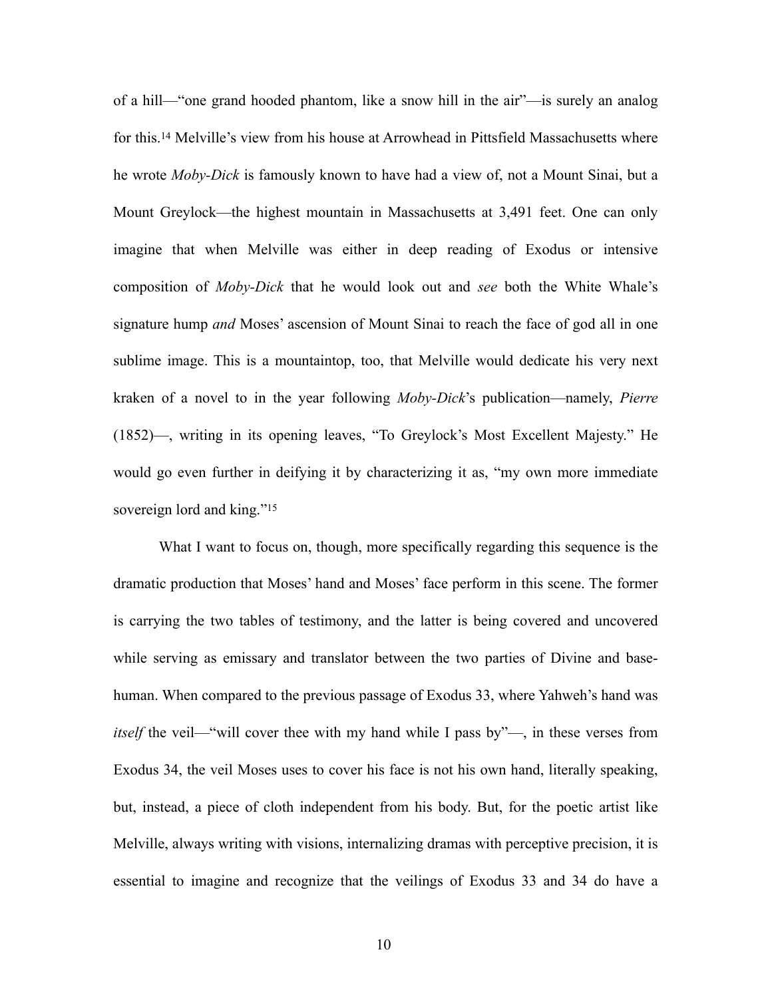<span id="page-16-0"></span>of a hill—"one grand hooded phantom, like a snow hill in the air"—is surely an analog forthis.<sup>[14](#page-40-13)</sup> Melville's view from his house at Arrowhead in Pittsfield Massachusetts where he wrote *Moby-Dick* is famously known to have had a view of, not a Mount Sinai, but a Mount Greylock—the highest mountain in Massachusetts at 3,491 feet. One can only imagine that when Melville was either in deep reading of Exodus or intensive composition of *Moby-Dick* that he would look out and *see* both the White Whale's signature hump *and* Moses' ascension of Mount Sinai to reach the face of god all in one sublime image. This is a mountaintop, too, that Melville would dedicate his very next kraken of a novel to in the year following *Moby-Dick*'s publication—namely, *Pierre*  (1852)—, writing in its opening leaves, "To Greylock's Most Excellent Majesty." He would go even further in deifying it by characterizing it as, "my own more immediate sovereign lord and king."<sup>[15](#page-40-14)</sup>

<span id="page-16-1"></span>What I want to focus on, though, more specifically regarding this sequence is the dramatic production that Moses' hand and Moses' face perform in this scene. The former is carrying the two tables of testimony, and the latter is being covered and uncovered while serving as emissary and translator between the two parties of Divine and basehuman. When compared to the previous passage of Exodus 33, where Yahweh's hand was *itself* the veil—"will cover thee with my hand while I pass by"—, in these verses from Exodus 34, the veil Moses uses to cover his face is not his own hand, literally speaking, but, instead, a piece of cloth independent from his body. But, for the poetic artist like Melville, always writing with visions, internalizing dramas with perceptive precision, it is essential to imagine and recognize that the veilings of Exodus 33 and 34 do have a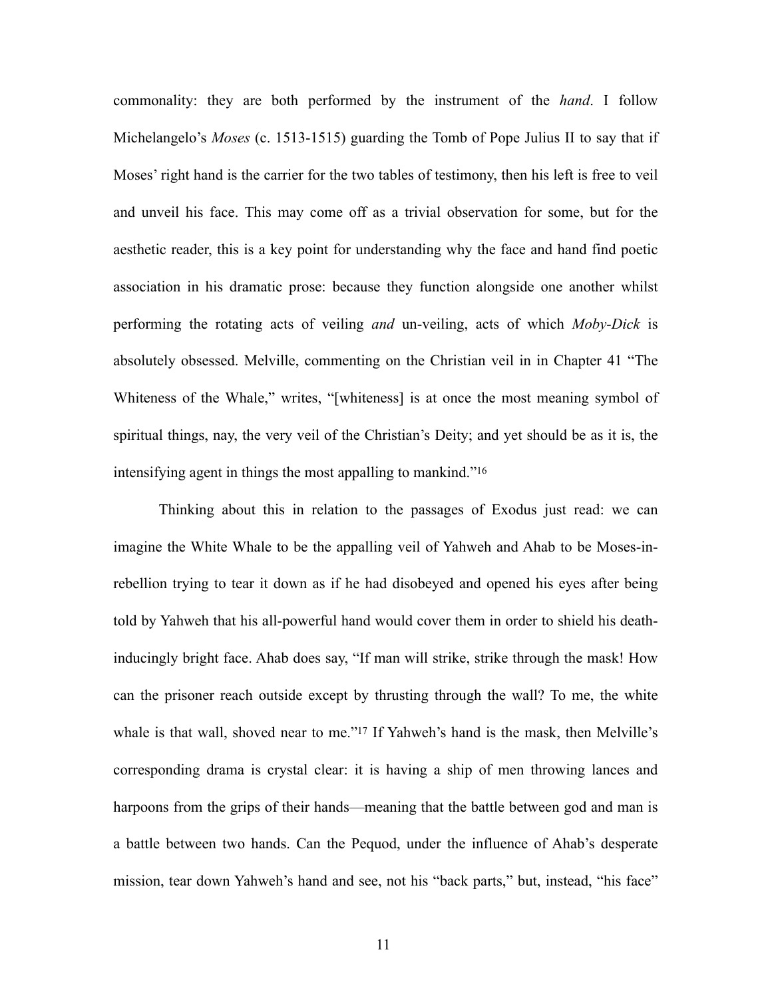commonality: they are both performed by the instrument of the *hand*. I follow Michelangelo's *Moses* (c. 1513-1515) guarding the Tomb of Pope Julius II to say that if Moses' right hand is the carrier for the two tables of testimony, then his left is free to veil and unveil his face. This may come off as a trivial observation for some, but for the aesthetic reader, this is a key point for understanding why the face and hand find poetic association in his dramatic prose: because they function alongside one another whilst performing the rotating acts of veiling *and* un-veiling, acts of which *Moby-Dick* is absolutely obsessed. Melville, commenting on the Christian veil in in Chapter 41 "The Whiteness of the Whale," writes, "[whiteness] is at once the most meaning symbol of spiritual things, nay, the very veil of the Christian's Deity; and yet should be as it is, the intensifying agent in things the most appalling to mankind.["16](#page-40-15)

<span id="page-17-1"></span><span id="page-17-0"></span>Thinking about this in relation to the passages of Exodus just read: we can imagine the White Whale to be the appalling veil of Yahweh and Ahab to be Moses-inrebellion trying to tear it down as if he had disobeyed and opened his eyes after being told by Yahweh that his all-powerful hand would cover them in order to shield his deathinducingly bright face. Ahab does say, "If man will strike, strike through the mask! How can the prisoner reach outside except by thrusting through the wall? To me, the white whaleis that wall, shoved near to me."<sup>[17](#page-40-16)</sup> If Yahweh's hand is the mask, then Melville's corresponding drama is crystal clear: it is having a ship of men throwing lances and harpoons from the grips of their hands—meaning that the battle between god and man is a battle between two hands. Can the Pequod, under the influence of Ahab's desperate mission, tear down Yahweh's hand and see, not his "back parts," but, instead, "his face"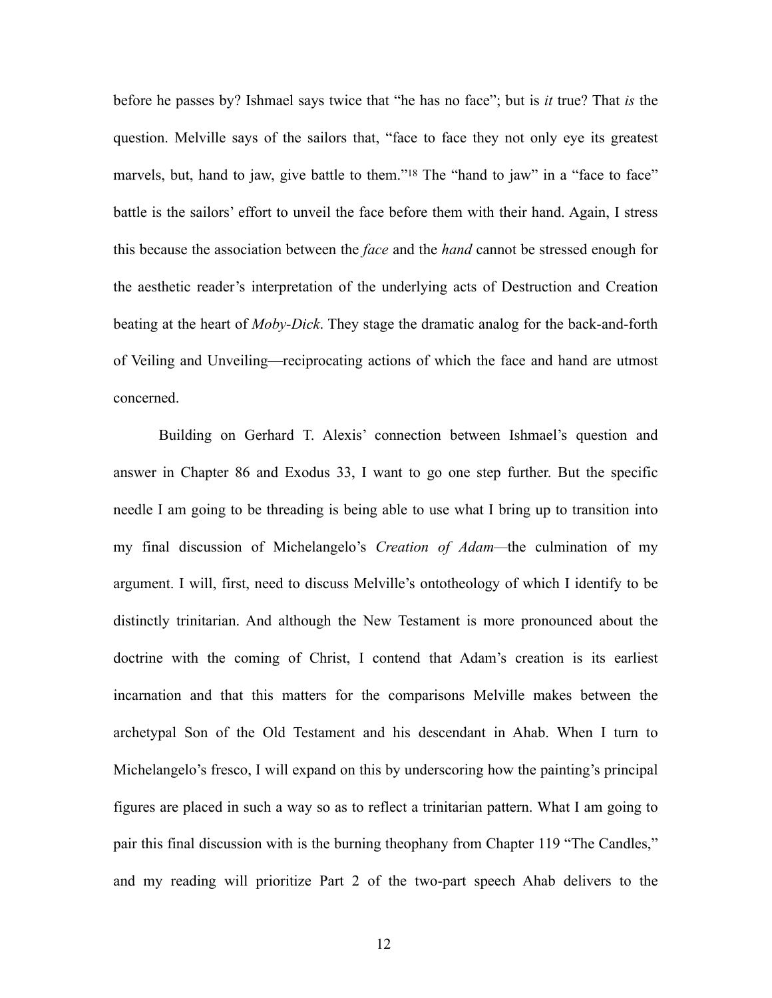<span id="page-18-0"></span>before he passes by? Ishmael says twice that "he has no face"; but is *it* true? That *is* the question. Melville says of the sailors that, "face to face they not only eye its greatest marvels, but, hand to jaw, give battle to them.["](#page-40-17)<sup>[18](#page-40-17)</sup> The "hand to jaw" in a "face to face" battle is the sailors' effort to unveil the face before them with their hand. Again, I stress this because the association between the *face* and the *hand* cannot be stressed enough for the aesthetic reader's interpretation of the underlying acts of Destruction and Creation beating at the heart of *Moby-Dick*. They stage the dramatic analog for the back-and-forth of Veiling and Unveiling—reciprocating actions of which the face and hand are utmost concerned.

Building on Gerhard T. Alexis' connection between Ishmael's question and answer in Chapter 86 and Exodus 33, I want to go one step further. But the specific needle I am going to be threading is being able to use what I bring up to transition into my final discussion of Michelangelo's *Creation of Adam—*the culmination of my argument. I will, first, need to discuss Melville's ontotheology of which I identify to be distinctly trinitarian. And although the New Testament is more pronounced about the doctrine with the coming of Christ, I contend that Adam's creation is its earliest incarnation and that this matters for the comparisons Melville makes between the archetypal Son of the Old Testament and his descendant in Ahab. When I turn to Michelangelo's fresco, I will expand on this by underscoring how the painting's principal figures are placed in such a way so as to reflect a trinitarian pattern. What I am going to pair this final discussion with is the burning theophany from Chapter 119 "The Candles," and my reading will prioritize Part 2 of the two-part speech Ahab delivers to the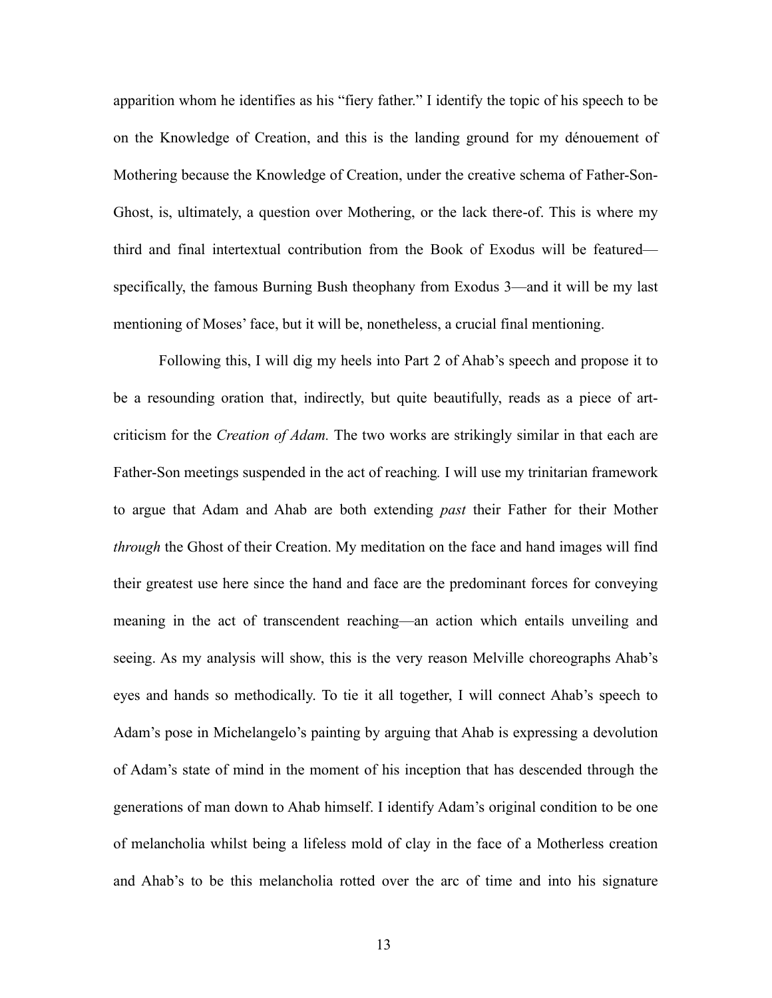apparition whom he identifies as his "fiery father." I identify the topic of his speech to be on the Knowledge of Creation, and this is the landing ground for my dénouement of Mothering because the Knowledge of Creation, under the creative schema of Father-Son-Ghost, is, ultimately, a question over Mothering, or the lack there-of. This is where my third and final intertextual contribution from the Book of Exodus will be featured specifically, the famous Burning Bush theophany from Exodus 3—and it will be my last mentioning of Moses' face, but it will be, nonetheless, a crucial final mentioning.

Following this, I will dig my heels into Part 2 of Ahab's speech and propose it to be a resounding oration that, indirectly, but quite beautifully, reads as a piece of artcriticism for the *Creation of Adam.* The two works are strikingly similar in that each are Father-Son meetings suspended in the act of reaching*.* I will use my trinitarian framework to argue that Adam and Ahab are both extending *past* their Father for their Mother *through* the Ghost of their Creation. My meditation on the face and hand images will find their greatest use here since the hand and face are the predominant forces for conveying meaning in the act of transcendent reaching—an action which entails unveiling and seeing. As my analysis will show, this is the very reason Melville choreographs Ahab's eyes and hands so methodically. To tie it all together, I will connect Ahab's speech to Adam's pose in Michelangelo's painting by arguing that Ahab is expressing a devolution of Adam's state of mind in the moment of his inception that has descended through the generations of man down to Ahab himself. I identify Adam's original condition to be one of melancholia whilst being a lifeless mold of clay in the face of a Motherless creation and Ahab's to be this melancholia rotted over the arc of time and into his signature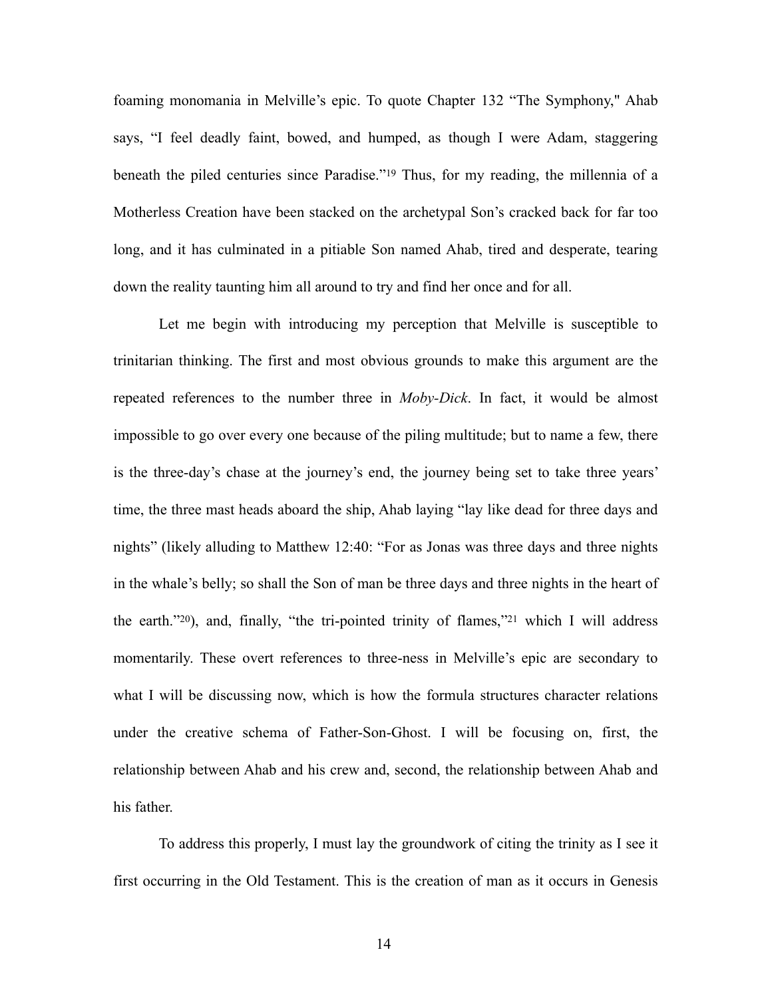<span id="page-20-0"></span>foaming monomania in Melville's epic. To quote Chapter 132 "The Symphony," Ahab says, "I feel deadly faint, bowed, and humped, as though I were Adam, staggering beneath the piled centuries since Paradise.["](#page-41-0)<sup>[19](#page-41-0)</sup> Thus, for my reading, the millennia of a Motherless Creation have been stacked on the archetypal Son's cracked back for far too long, and it has culminated in a pitiable Son named Ahab, tired and desperate, tearing down the reality taunting him all around to try and find her once and for all.

Let me begin with introducing my perception that Melville is susceptible to trinitarian thinking. The first and most obvious grounds to make this argument are the repeated references to the number three in *Moby-Dick*. In fact, it would be almost impossible to go over every one because of the piling multitude; but to name a few, there is the three-day's chase at the journey's end, the journey being set to take three years' time, the three mast heads aboard the ship, Ahab laying "lay like dead for three days and nights" (likely alluding to Matthew 12:40: "For as Jonas was three days and three nights in the whale's belly; so shall the Son of man be three days and three nights in the heart of theearth." $20$ [\)](#page-41-1), and, finally, "the tri-pointed trinity of flames," $21$  which I will address momentarily. These overt references to three-ness in Melville's epic are secondary to what I will be discussing now, which is how the formula structures character relations under the creative schema of Father-Son-Ghost. I will be focusing on, first, the relationship between Ahab and his crew and, second, the relationship between Ahab and his father.

<span id="page-20-2"></span><span id="page-20-1"></span>To address this properly, I must lay the groundwork of citing the trinity as I see it first occurring in the Old Testament. This is the creation of man as it occurs in Genesis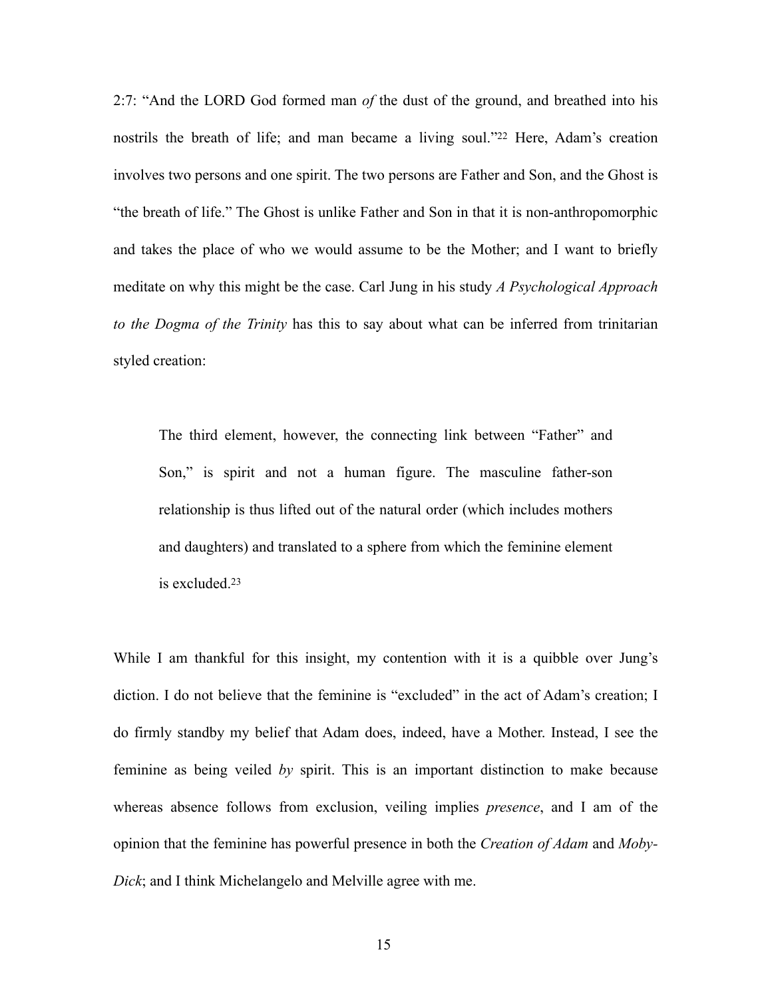<span id="page-21-0"></span>2:7: "And the LORD God formed man *of* the dust of the ground, and breathed into his nostrilsthe breath of life; and man became a living soul."<sup>[22](#page-41-3)</sup> Here, Adam's creation involves two persons and one spirit. The two persons are Father and Son, and the Ghost is "the breath of life." The Ghost is unlike Father and Son in that it is non-anthropomorphic and takes the place of who we would assume to be the Mother; and I want to briefly meditate on why this might be the case. Carl Jung in his study *A Psychological Approach to the Dogma of the Trinity* has this to say about what can be inferred from trinitarian styled creation:

The third element, however, the connecting link between "Father" and Son," is spirit and not a human figure. The masculine father-son relationship is thus lifted out of the natural order (which includes mothers and daughters) and translated to a sphere from which the feminine element is excluded[.23](#page-41-4)

<span id="page-21-1"></span>While I am thankful for this insight, my contention with it is a quibble over Jung's diction. I do not believe that the feminine is "excluded" in the act of Adam's creation; I do firmly standby my belief that Adam does, indeed, have a Mother. Instead, I see the feminine as being veiled *by* spirit. This is an important distinction to make because whereas absence follows from exclusion, veiling implies *presence*, and I am of the opinion that the feminine has powerful presence in both the *Creation of Adam* and *Moby-Dick*; and I think Michelangelo and Melville agree with me.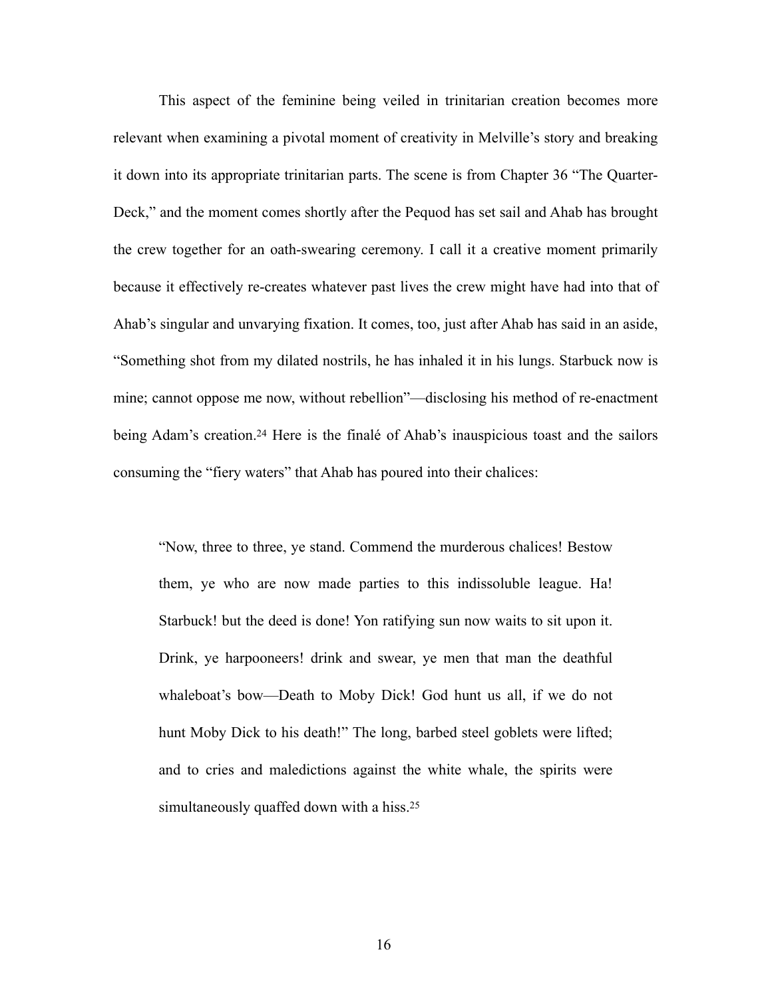This aspect of the feminine being veiled in trinitarian creation becomes more relevant when examining a pivotal moment of creativity in Melville's story and breaking it down into its appropriate trinitarian parts. The scene is from Chapter 36 "The Quarter-Deck," and the moment comes shortly after the Pequod has set sail and Ahab has brought the crew together for an oath-swearing ceremony. I call it a creative moment primarily because it effectively re-creates whatever past lives the crew might have had into that of Ahab's singular and unvarying fixation. It comes, too, just after Ahab has said in an aside, "Something shot from my dilated nostrils, he has inhaled it in his lungs. Starbuck now is mine; cannot oppose me now, without rebellion"—disclosing his method of re-enactment beingAdam's creation.<sup>[24](#page-41-5)</sup> Here is the finale of Ahab's inauspicious toast and the sailors consuming the "fiery waters" that Ahab has poured into their chalices:

<span id="page-22-1"></span><span id="page-22-0"></span>"Now, three to three, ye stand. Commend the murderous chalices! Bestow them, ye who are now made parties to this indissoluble league. Ha! Starbuck! but the deed is done! Yon ratifying sun now waits to sit upon it. Drink, ye harpooneers! drink and swear, ye men that man the deathful whaleboat's bow—Death to Moby Dick! God hunt us all, if we do not hunt Moby Dick to his death!" The long, barbed steel goblets were lifted; and to cries and maledictions against the white whale, the spirits were simultaneously quaffed down with a hiss.<sup>25</sup>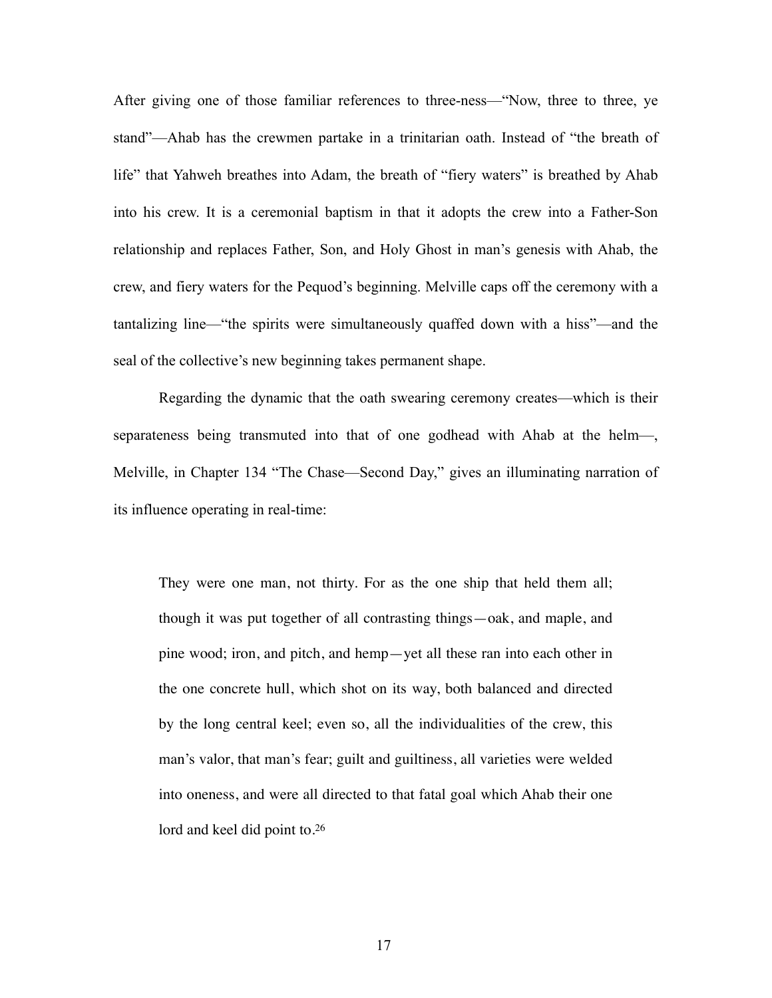After giving one of those familiar references to three-ness—"Now, three to three, ye stand"—Ahab has the crewmen partake in a trinitarian oath. Instead of "the breath of life" that Yahweh breathes into Adam, the breath of "fiery waters" is breathed by Ahab into his crew. It is a ceremonial baptism in that it adopts the crew into a Father-Son relationship and replaces Father, Son, and Holy Ghost in man's genesis with Ahab, the crew, and fiery waters for the Pequod's beginning. Melville caps off the ceremony with a tantalizing line—"the spirits were simultaneously quaffed down with a hiss"—and the seal of the collective's new beginning takes permanent shape.

Regarding the dynamic that the oath swearing ceremony creates—which is their separateness being transmuted into that of one godhead with Ahab at the helm—, Melville, in Chapter 134 "The Chase—Second Day," gives an illuminating narration of its influence operating in real-time:

<span id="page-23-0"></span>They were one man, not thirty. For as the one ship that held them all; though it was put together of all contrasting things—oak, and maple, and pine wood; iron, and pitch, and hemp—yet all these ran into each other in the one concrete hull, which shot on its way, both balanced and directed by the long central keel; even so, all the individualities of the crew, this man's valor, that man's fear; guilt and guiltiness, all varieties were welded into oneness, and were all directed to that fatal goal which Ahab their one lord and keel did point to.<sup>[26](#page-41-7)</sup>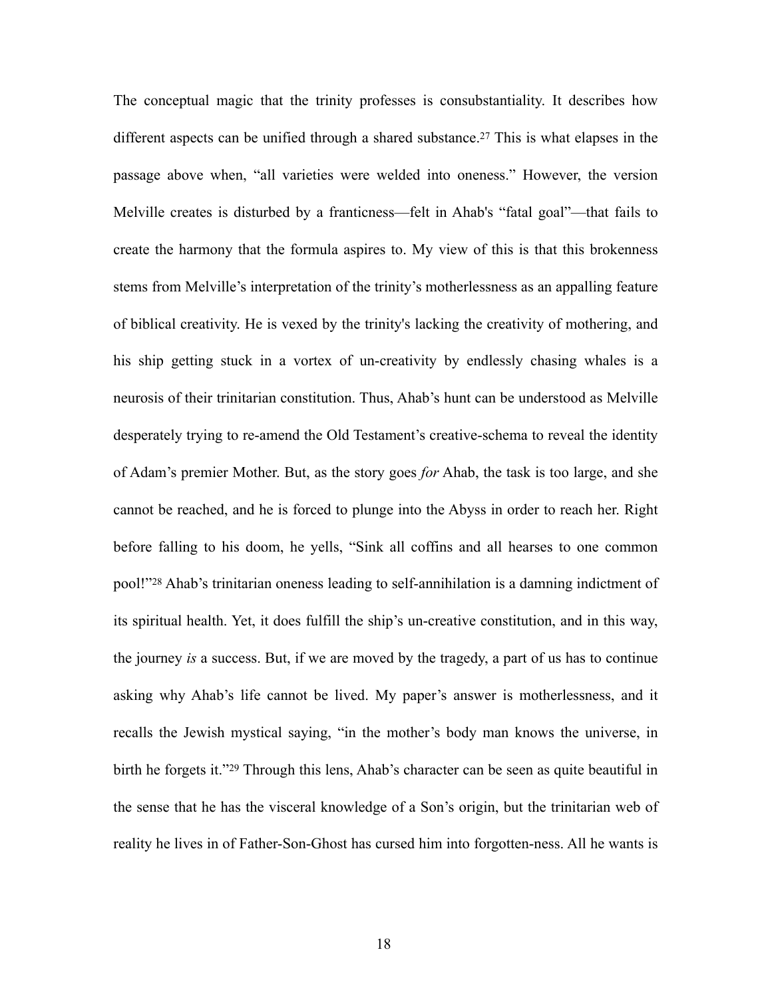<span id="page-24-2"></span><span id="page-24-1"></span><span id="page-24-0"></span>The conceptual magic that the trinity professes is consubstantiality. It describes how differentaspects can be unified through a shared substance.<sup>[27](#page-41-8)</sup> This is what elapses in the passage above when, "all varieties were welded into oneness." However, the version Melville creates is disturbed by a franticness—felt in Ahab's "fatal goal"—that fails to create the harmony that the formula aspires to. My view of this is that this brokenness stems from Melville's interpretation of the trinity's motherlessness as an appalling feature of biblical creativity. He is vexed by the trinity's lacking the creativity of mothering, and his ship getting stuck in a vortex of un-creativity by endlessly chasing whales is a neurosis of their trinitarian constitution. Thus, Ahab's hunt can be understood as Melville desperately trying to re-amend the Old Testament's creative-schema to reveal the identity of Adam's premier Mother. But, as the story goes *for* Ahab, the task is too large, and she cannot be reached, and he is forced to plunge into the Abyss in order to reach her. Right before falling to his doom, he yells, "Sink all coffins and all hearses to one common pool!"<sup>28</sup>Ahab's trinitarian oneness leading to self-annihilation is a damning indictment of its spiritual health. Yet, it does fulfill the ship's un-creative constitution, and in this way, the journey *is* a success. But, if we are moved by the tragedy, a part of us has to continue asking why Ahab's life cannot be lived. My paper's answer is motherlessness, and it recalls the Jewish mystical saying, "in the mother's body man knows the universe, in birthhe forgets it."<sup>[29](#page-41-10)</sup> Through this lens, Ahab's character can be seen as quite beautiful in the sense that he has the visceral knowledge of a Son's origin, but the trinitarian web of reality he lives in of Father-Son-Ghost has cursed him into forgotten-ness. All he wants is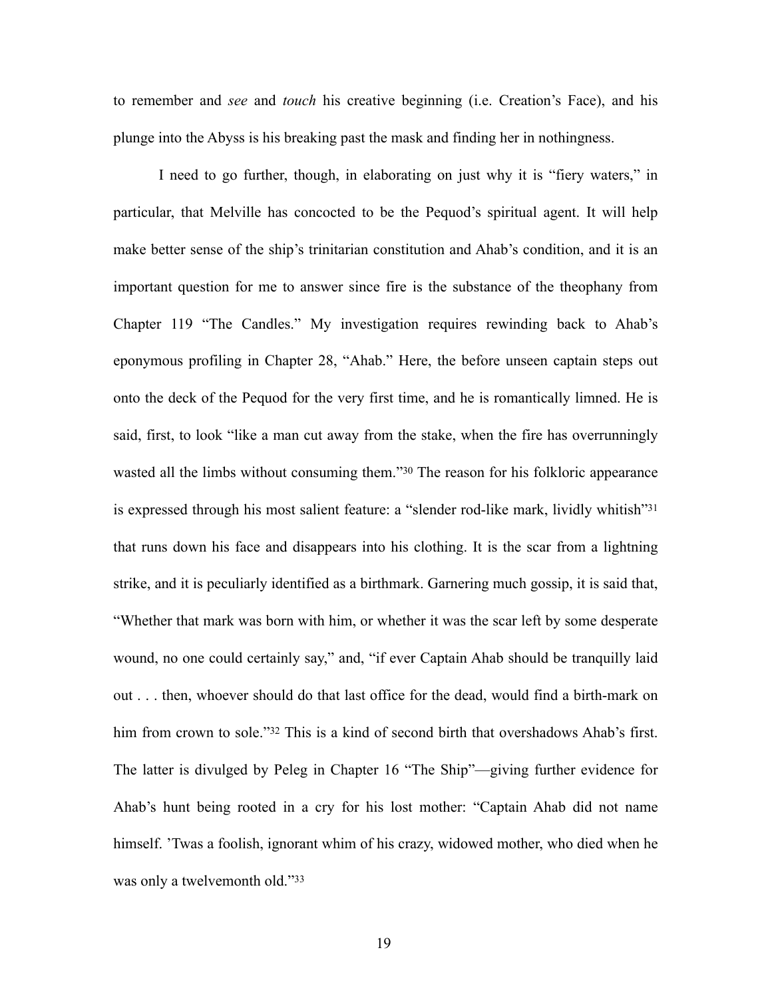to remember and *see* and *touch* his creative beginning (i.e. Creation's Face), and his plunge into the Abyss is his breaking past the mask and finding her in nothingness.

<span id="page-25-3"></span><span id="page-25-2"></span><span id="page-25-1"></span><span id="page-25-0"></span>I need to go further, though, in elaborating on just why it is "fiery waters," in particular, that Melville has concocted to be the Pequod's spiritual agent. It will help make better sense of the ship's trinitarian constitution and Ahab's condition, and it is an important question for me to answer since fire is the substance of the theophany from Chapter 119 "The Candles." My investigation requires rewinding back to Ahab's eponymous profiling in Chapter 28, "Ahab." Here, the before unseen captain steps out onto the deck of the Pequod for the very first time, and he is romantically limned. He is said, first, to look "like a man cut away from the stake, when the fire has overrunningly wastedall the limbs without consuming them." [30](#page-41-11) The reason for his folkloric appearance is expressed through his most salient feature: a "slender rod-like mark, lividly whitish"[31](#page-41-12) that runs down his face and disappears into his clothing. It is the scar from a lightning strike, and it is peculiarly identified as a birthmark. Garnering much gossip, it is said that, "Whether that mark was born with him, or whether it was the scar left by some desperate wound, no one could certainly say," and, "if ever Captain Ahab should be tranquilly laid out . . . then, whoever should do that last office for the dead, would find a birth-mark on him from crown to sole.["](#page-41-13) [32](#page-41-13) This is a kind of second birth that overshadows Ahab's first. The latter is divulged by Peleg in Chapter 16 "The Ship"—giving further evidence for Ahab's hunt being rooted in a cry for his lost mother: "Captain Ahab did not name himself. 'Twas a foolish, ignorant whim of his crazy, widowed mother, who died when he was only a twelvemonth old."[33](#page-41-14)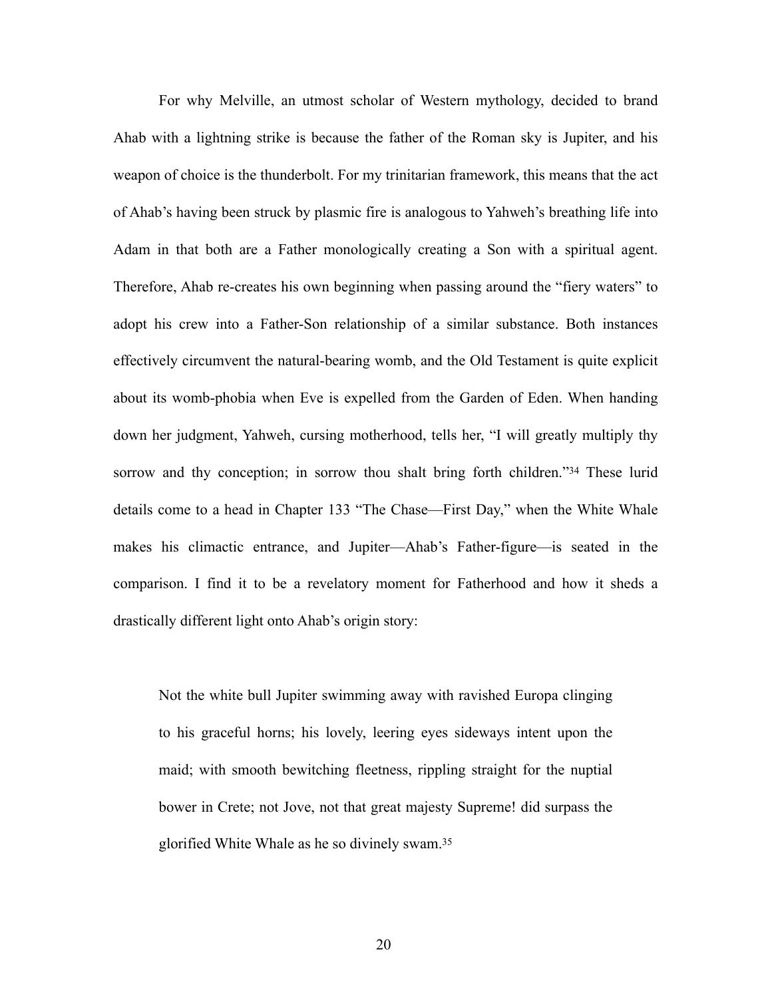For why Melville, an utmost scholar of Western mythology, decided to brand Ahab with a lightning strike is because the father of the Roman sky is Jupiter, and his weapon of choice is the thunderbolt. For my trinitarian framework, this means that the act of Ahab's having been struck by plasmic fire is analogous to Yahweh's breathing life into Adam in that both are a Father monologically creating a Son with a spiritual agent. Therefore, Ahab re-creates his own beginning when passing around the "fiery waters" to adopt his crew into a Father-Son relationship of a similar substance. Both instances effectively circumvent the natural-bearing womb, and the Old Testament is quite explicit about its womb-phobia when Eve is expelled from the Garden of Eden. When handing down her judgment, Yahweh, cursing motherhood, tells her, "I will greatly multiply thy sorrowand thy conception; in sorrow thou shalt bring forth children." $34$  These lurid details come to a head in Chapter 133 "The Chase—First Day," when the White Whale makes his climactic entrance, and Jupiter—Ahab's Father-figure—is seated in the comparison. I find it to be a revelatory moment for Fatherhood and how it sheds a drastically different light onto Ahab's origin story:

<span id="page-26-1"></span><span id="page-26-0"></span>Not the white bull Jupiter swimming away with ravished Europa clinging to his graceful horns; his lovely, leering eyes sideways intent upon the maid; with smooth bewitching fleetness, rippling straight for the nuptial bower in Crete; not Jove, not that great majesty Supreme! did surpass the glorified White Whale as he so divinely swam.[35](#page-41-16)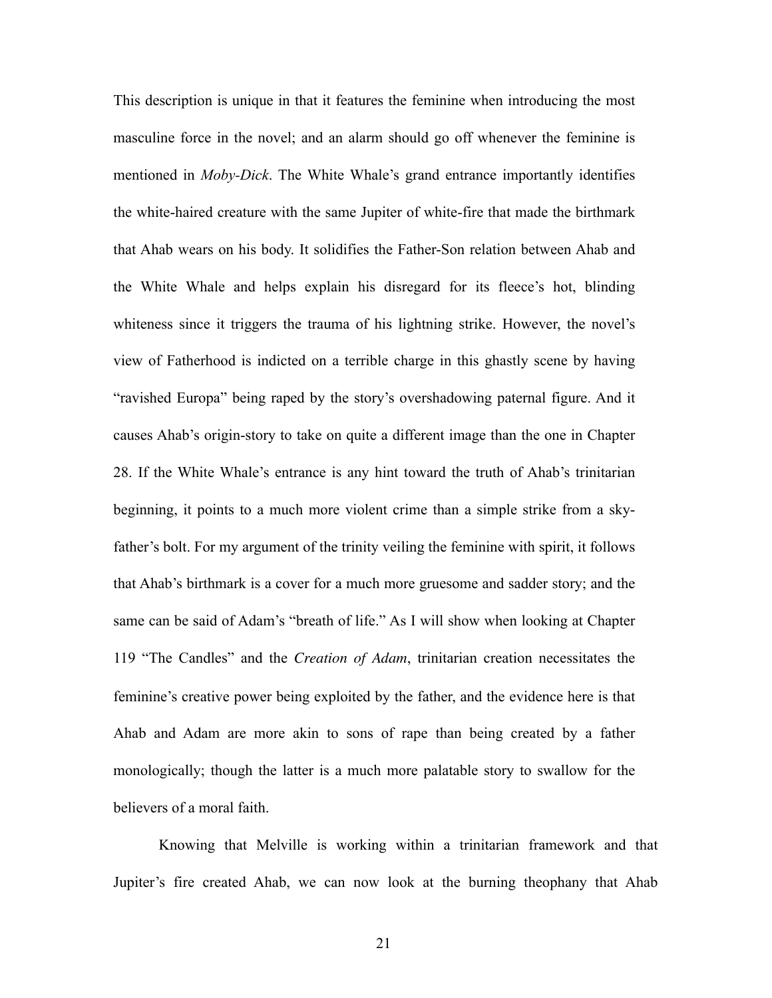This description is unique in that it features the feminine when introducing the most masculine force in the novel; and an alarm should go off whenever the feminine is mentioned in *Moby-Dick*. The White Whale's grand entrance importantly identifies the white-haired creature with the same Jupiter of white-fire that made the birthmark that Ahab wears on his body. It solidifies the Father-Son relation between Ahab and the White Whale and helps explain his disregard for its fleece's hot, blinding whiteness since it triggers the trauma of his lightning strike. However, the novel's view of Fatherhood is indicted on a terrible charge in this ghastly scene by having "ravished Europa" being raped by the story's overshadowing paternal figure. And it causes Ahab's origin-story to take on quite a different image than the one in Chapter 28. If the White Whale's entrance is any hint toward the truth of Ahab's trinitarian beginning, it points to a much more violent crime than a simple strike from a skyfather's bolt. For my argument of the trinity veiling the feminine with spirit, it follows that Ahab's birthmark is a cover for a much more gruesome and sadder story; and the same can be said of Adam's "breath of life." As I will show when looking at Chapter 119 "The Candles" and the *Creation of Adam*, trinitarian creation necessitates the feminine's creative power being exploited by the father, and the evidence here is that Ahab and Adam are more akin to sons of rape than being created by a father monologically; though the latter is a much more palatable story to swallow for the believers of a moral faith.

Knowing that Melville is working within a trinitarian framework and that Jupiter's fire created Ahab, we can now look at the burning theophany that Ahab

21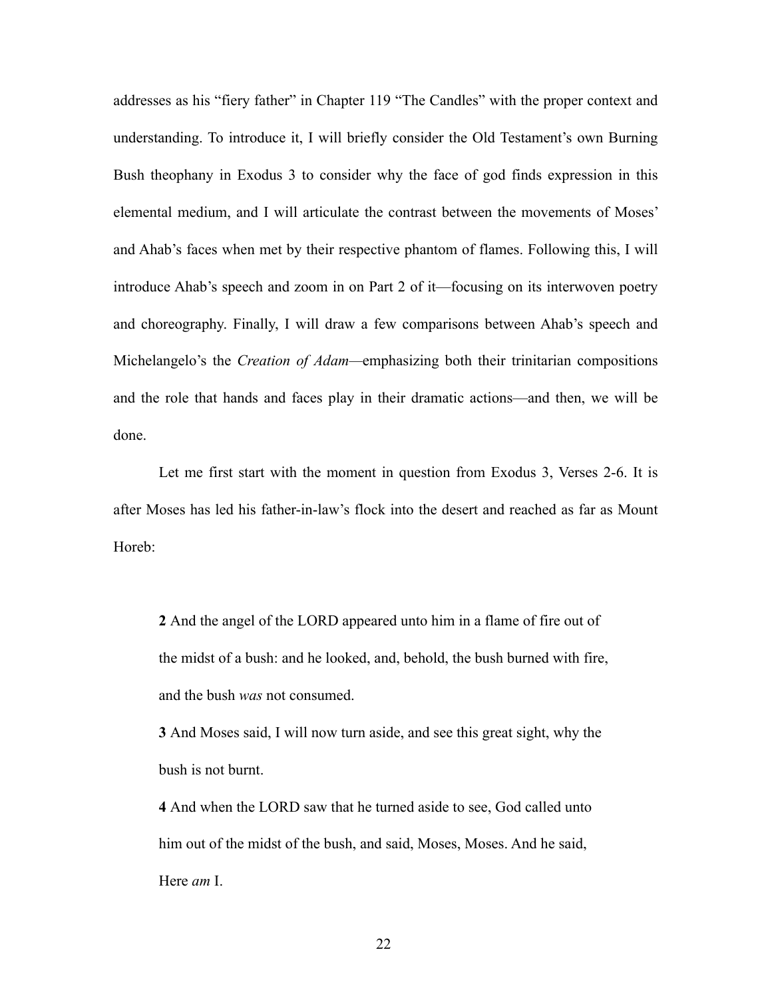addresses as his "fiery father" in Chapter 119 "The Candles" with the proper context and understanding. To introduce it, I will briefly consider the Old Testament's own Burning Bush theophany in Exodus 3 to consider why the face of god finds expression in this elemental medium, and I will articulate the contrast between the movements of Moses' and Ahab's faces when met by their respective phantom of flames. Following this, I will introduce Ahab's speech and zoom in on Part 2 of it—focusing on its interwoven poetry and choreography. Finally, I will draw a few comparisons between Ahab's speech and Michelangelo's the *Creation of Adam—*emphasizing both their trinitarian compositions and the role that hands and faces play in their dramatic actions—and then, we will be done.

Let me first start with the moment in question from Exodus 3, Verses 2-6. It is after Moses has led his father-in-law's flock into the desert and reached as far as Mount Horeb:

**2** And the angel of the LORD appeared unto him in a flame of fire out of the midst of a bush: and he looked, and, behold, the bush burned with fire, and the bush *was* not consumed.

**3** And Moses said, I will now turn aside, and see this great sight, why the bush is not burnt.

**4** And when the LORD saw that he turned aside to see, God called unto him out of the midst of the bush, and said, Moses, Moses. And he said, Here *am* I.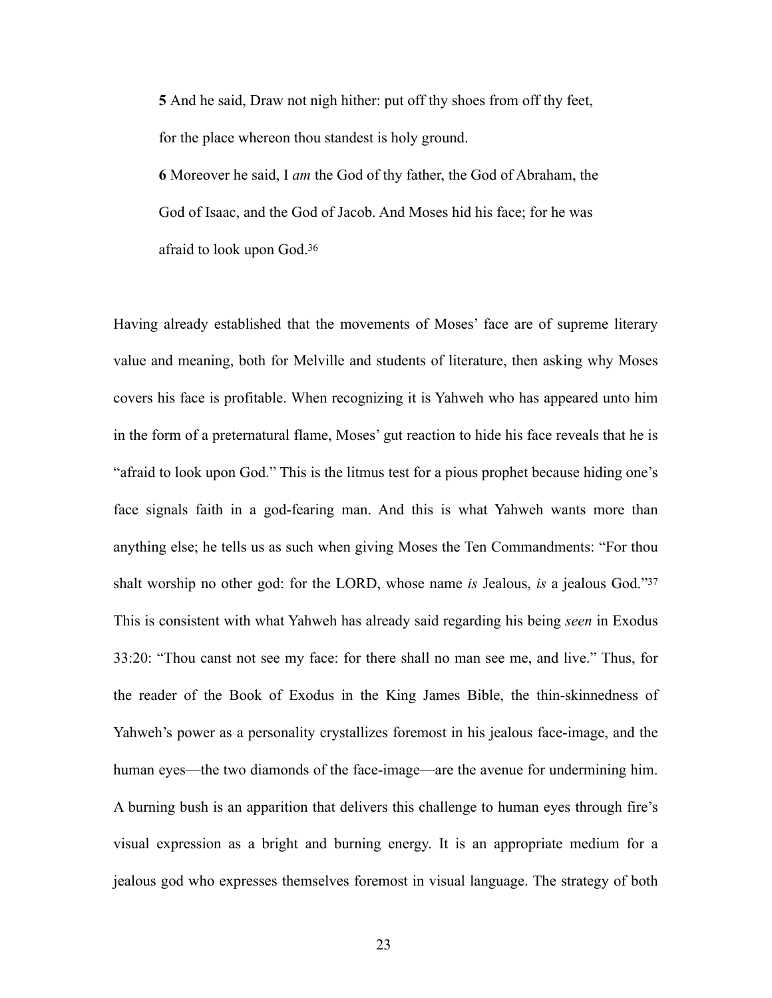**5** And he said, Draw not nigh hither: put off thy shoes from off thy feet, for the place whereon thou standest is holy ground.

<span id="page-29-0"></span>**6** Moreover he said, I *am* the God of thy father, the God of Abraham, the God of Isaac, and the God of Jacob. And Moses hid his face; for he was afraid to look upon God[.36](#page-41-17)

<span id="page-29-1"></span>Having already established that the movements of Moses' face are of supreme literary value and meaning, both for Melville and students of literature, then asking why Moses covers his face is profitable. When recognizing it is Yahweh who has appeared unto him in the form of a preternatural flame, Moses' gut reaction to hide his face reveals that he is "afraid to look upon God." This is the litmus test for a pious prophet because hiding one's face signals faith in a god-fearing man. And this is what Yahweh wants more than anything else; he tells us as such when giving Moses the Ten Commandments: "For thou shalt worship no other god: for the LORD, whose name *is* Jealous, *is* a jealous God.["37](#page-41-18) This is consistent with what Yahweh has already said regarding his being *seen* in Exodus 33:20: "Thou canst not see my face: for there shall no man see me, and live." Thus, for the reader of the Book of Exodus in the King James Bible, the thin-skinnedness of Yahweh's power as a personality crystallizes foremost in his jealous face-image, and the human eyes—the two diamonds of the face-image—are the avenue for undermining him. A burning bush is an apparition that delivers this challenge to human eyes through fire's visual expression as a bright and burning energy. It is an appropriate medium for a jealous god who expresses themselves foremost in visual language. The strategy of both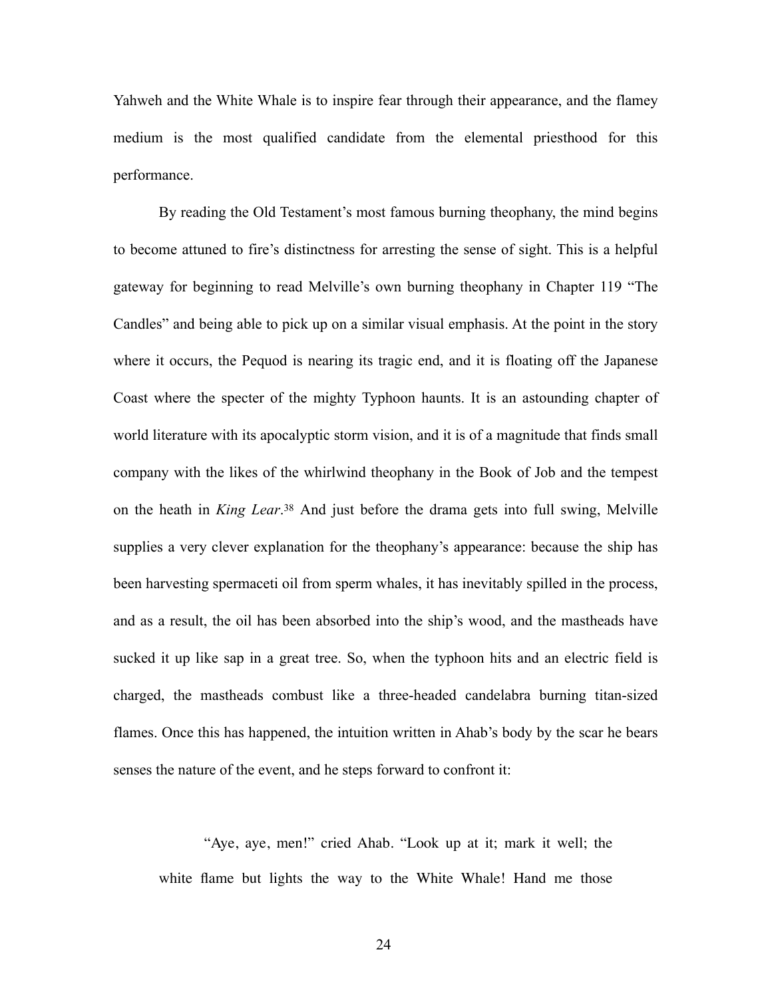Yahweh and the White Whale is to inspire fear through their appearance, and the flamey medium is the most qualified candidate from the elemental priesthood for this performance.

<span id="page-30-0"></span>By reading the Old Testament's most famous burning theophany, the mind begins to become attuned to fire's distinctness for arresting the sense of sight. This is a helpful gateway for beginning to read Melville's own burning theophany in Chapter 119 "The Candles" and being able to pick up on a similar visual emphasis. At the point in the story where it occurs, the Pequod is nearing its tragic end, and it is floating off the Japanese Coast where the specter of the mighty Typhoon haunts. It is an astounding chapter of world literature with its apocalyptic storm vision, and it is of a magnitude that finds small company with the likes of the whirlwind theophany in the Book of Job and the tempest on the heath in *King Lear*.<sup>[38](#page-41-19)</sup> And just before the drama gets into full swing, Melville supplies a very clever explanation for the theophany's appearance: because the ship has been harvesting spermaceti oil from sperm whales, it has inevitably spilled in the process, and as a result, the oil has been absorbed into the ship's wood, and the mastheads have sucked it up like sap in a great tree. So, when the typhoon hits and an electric field is charged, the mastheads combust like a three-headed candelabra burning titan-sized flames. Once this has happened, the intuition written in Ahab's body by the scar he bears senses the nature of the event, and he steps forward to confront it:

"Aye, aye, men!" cried Ahab. "Look up at it; mark it well; the white flame but lights the way to the White Whale! Hand me those

24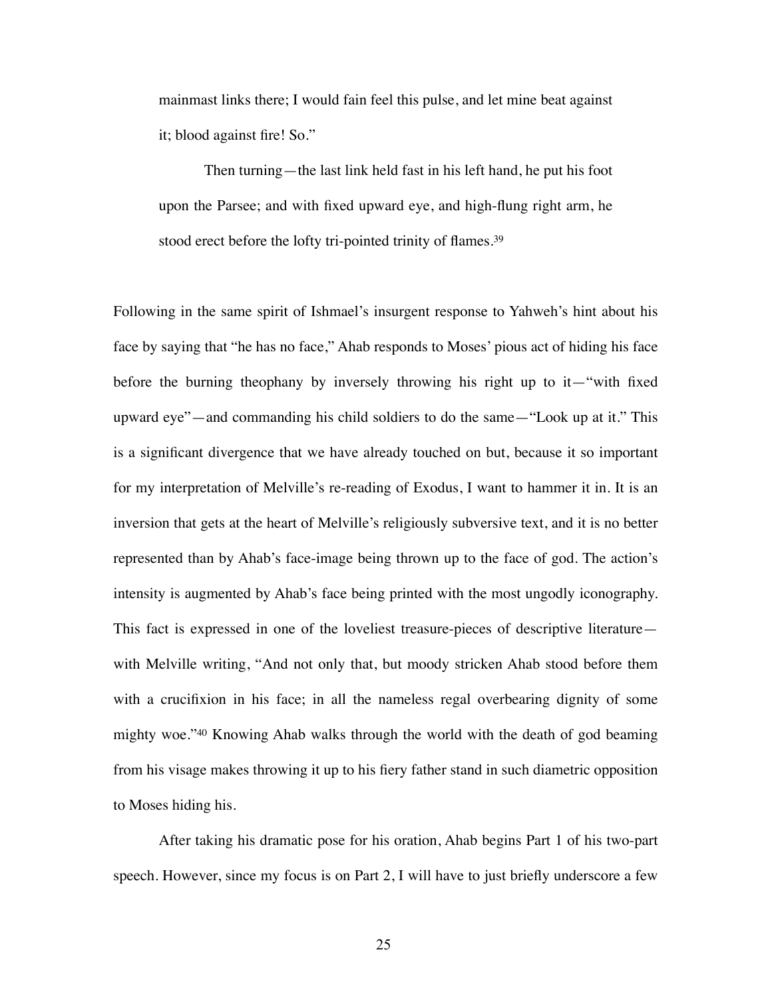mainmast links there; I would fain feel this pulse, and let mine beat against it; blood against fire! So."

<span id="page-31-0"></span>Then turning—the last link held fast in his left hand, he put his foot upon the Parsee; and with fixed upward eye, and high-flung right arm, he stood erect before the lofty tri-pointed trinity of flames.<sup>[39](#page-41-20)</sup>

Following in the same spirit of Ishmael's insurgent response to Yahweh's hint about his face by saying that "he has no face," Ahab responds to Moses' pious act of hiding his face before the burning theophany by inversely throwing his right up to it—"with fixed upward eye"—and commanding his child soldiers to do the same—"Look up at it." This is a significant divergence that we have already touched on but, because it so important for my interpretation of Melville's re-reading of Exodus, I want to hammer it in. It is an inversion that gets at the heart of Melville's religiously subversive text, and it is no better represented than by Ahab's face-image being thrown up to the face of god. The action's intensity is augmented by Ahab's face being printed with the most ungodly iconography. This fact is expressed in one of the loveliest treasure-pieces of descriptive literature with Melville writing, "And not only that, but moody stricken Ahab stood before them with a crucifixion in his face; in all the nameless regal overbearing dignity of some mighty woe.["](#page-41-21) $40$  Knowing Ahab walks through the world with the death of god beaming from his visage makes throwing it up to his fiery father stand in such diametric opposition to Moses hiding his.

<span id="page-31-1"></span>After taking his dramatic pose for his oration, Ahab begins Part 1 of his two-part speech. However, since my focus is on Part 2, I will have to just briefly underscore a few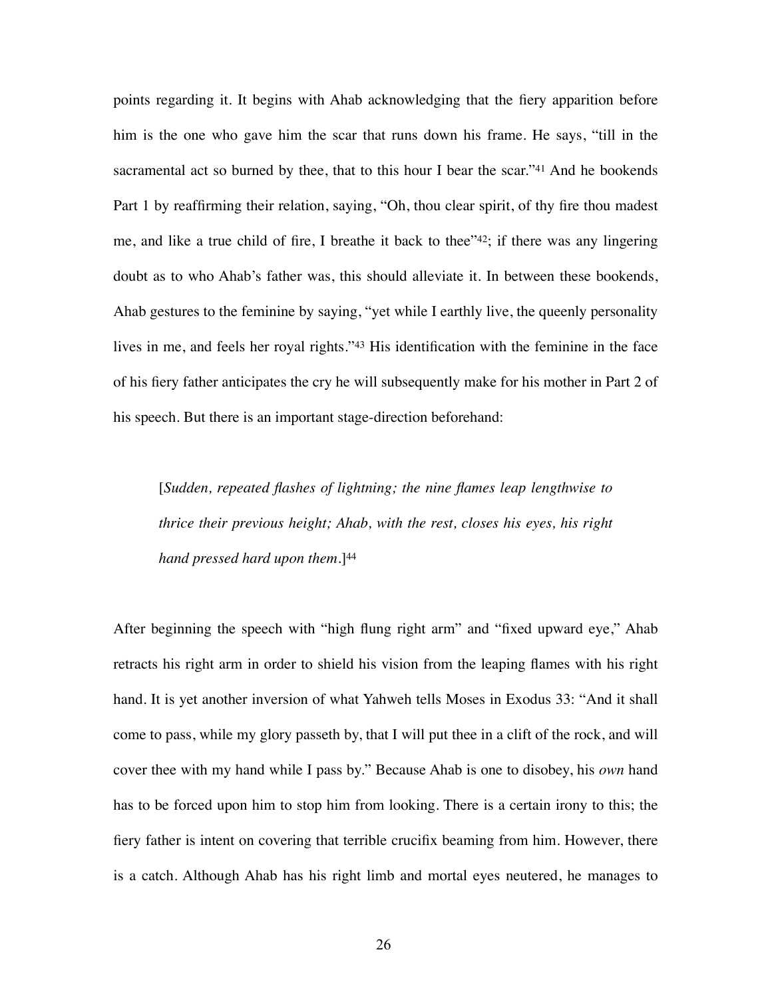<span id="page-32-1"></span><span id="page-32-0"></span>points regarding it. It begins with Ahab acknowledging that the fiery apparition before him is the one who gave him the scar that runs down his frame. He says, "till in the sacramentalact so burned by thee, that to this hour I bear the scar." $41$  And he bookends Part 1 by reaffirming their relation, saying, "Oh, thou clear spirit, of thy fire thou madest me, and like a true child of fire, I breathe it back to thee" $42$ [;](#page-41-23) if there was any lingering doubt as to who Ahab's father was, this should alleviate it. In between these bookends, Ahab gestures to the feminine by saying, "yet while I earthly live, the queenly personality lives in me, and feels her royal rights.["](#page-42-0)[43](#page-42-0) His identification with the feminine in the face of his fiery father anticipates the cry he will subsequently make for his mother in Part 2 of his speech. But there is an important stage-direction beforehand:

<span id="page-32-3"></span><span id="page-32-2"></span>[*Sudden, repeated flashes of lightning; the nine flames leap lengthwise to thrice their previous height; Ahab, with the rest, closes his eyes, his right hand pressed hard upon them.*][44](#page-42-1)

After beginning the speech with "high flung right arm" and "fixed upward eye," Ahab retracts his right arm in order to shield his vision from the leaping flames with his right hand. It is yet another inversion of what Yahweh tells Moses in Exodus 33: "And it shall come to pass, while my glory passeth by, that I will put thee in a clift of the rock, and will cover thee with my hand while I pass by." Because Ahab is one to disobey, his *own* hand has to be forced upon him to stop him from looking. There is a certain irony to this; the fiery father is intent on covering that terrible crucifix beaming from him. However, there is a catch. Although Ahab has his right limb and mortal eyes neutered, he manages to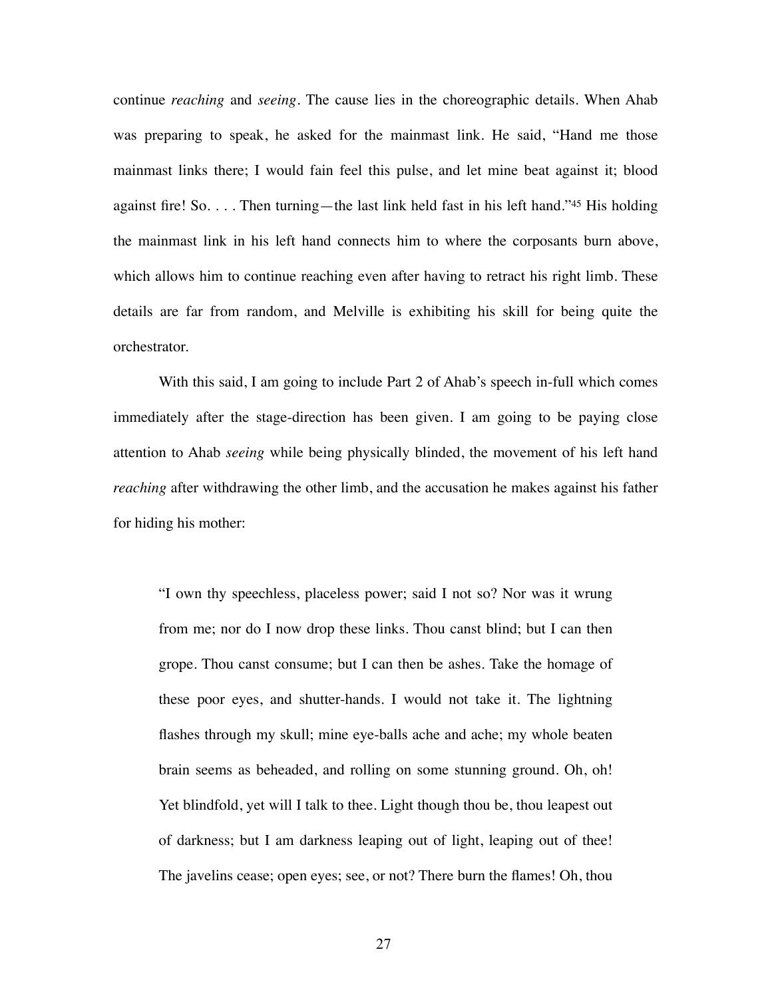<span id="page-33-0"></span>continue *reaching* and *seeing*. The cause lies in the choreographic details. When Ahab was preparing to speak, he asked for the mainmast link. He said, "Hand me those mainmast links there; I would fain feel this pulse, and let mine beat against it; blood against fire! So. . . . Then turning—the last link held fast in his left hand.["](#page-42-2) $45$  His holding the mainmast link in his left hand connects him to where the corposants burn above, which allows him to continue reaching even after having to retract his right limb. These details are far from random, and Melville is exhibiting his skill for being quite the orchestrator.

With this said, I am going to include Part 2 of Ahab's speech in-full which comes immediately after the stage-direction has been given. I am going to be paying close attention to Ahab *seeing* while being physically blinded, the movement of his left hand *reaching* after withdrawing the other limb, and the accusation he makes against his father for hiding his mother:

"I own thy speechless, placeless power; said I not so? Nor was it wrung from me; nor do I now drop these links. Thou canst blind; but I can then grope. Thou canst consume; but I can then be ashes. Take the homage of these poor eyes, and shutter-hands. I would not take it. The lightning flashes through my skull; mine eye-balls ache and ache; my whole beaten brain seems as beheaded, and rolling on some stunning ground. Oh, oh! Yet blindfold, yet will I talk to thee. Light though thou be, thou leapest out of darkness; but I am darkness leaping out of light, leaping out of thee! The javelins cease; open eyes; see, or not? There burn the flames! Oh, thou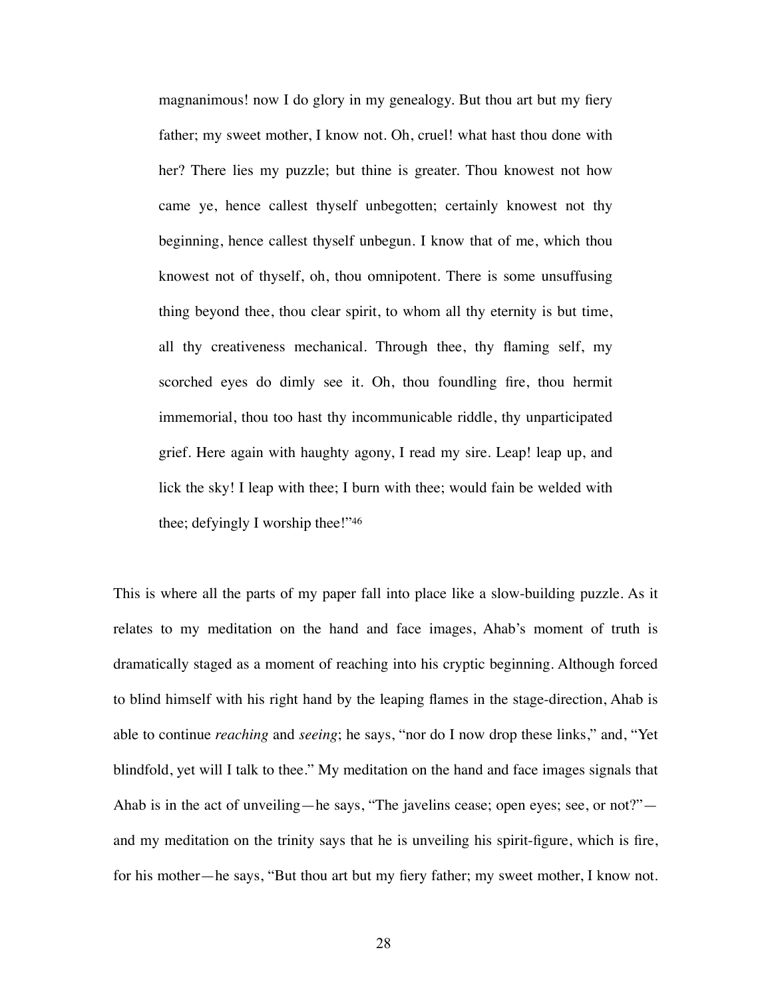magnanimous! now I do glory in my genealogy. But thou art but my fiery father; my sweet mother, I know not. Oh, cruel! what hast thou done with her? There lies my puzzle; but thine is greater. Thou knowest not how came ye, hence callest thyself unbegotten; certainly knowest not thy beginning, hence callest thyself unbegun. I know that of me, which thou knowest not of thyself, oh, thou omnipotent. There is some unsuffusing thing beyond thee, thou clear spirit, to whom all thy eternity is but time, all thy creativeness mechanical. Through thee, thy flaming self, my scorched eyes do dimly see it. Oh, thou foundling fire, thou hermit immemorial, thou too hast thy incommunicable riddle, thy unparticipated grief. Here again with haughty agony, I read my sire. Leap! leap up, and lick the sky! I leap with thee; I burn with thee; would fain be welded with thee; defyingly I worship thee!["46](#page-42-3)

<span id="page-34-0"></span>This is where all the parts of my paper fall into place like a slow-building puzzle. As it relates to my meditation on the hand and face images, Ahab's moment of truth is dramatically staged as a moment of reaching into his cryptic beginning. Although forced to blind himself with his right hand by the leaping flames in the stage-direction, Ahab is able to continue *reaching* and *seeing*; he says, "nor do I now drop these links," and, "Yet blindfold, yet will I talk to thee." My meditation on the hand and face images signals that Ahab is in the act of unveiling—he says, "The javelins cease; open eyes; see, or not?" and my meditation on the trinity says that he is unveiling his spirit-figure, which is fire, for his mother—he says, "But thou art but my fiery father; my sweet mother, I know not.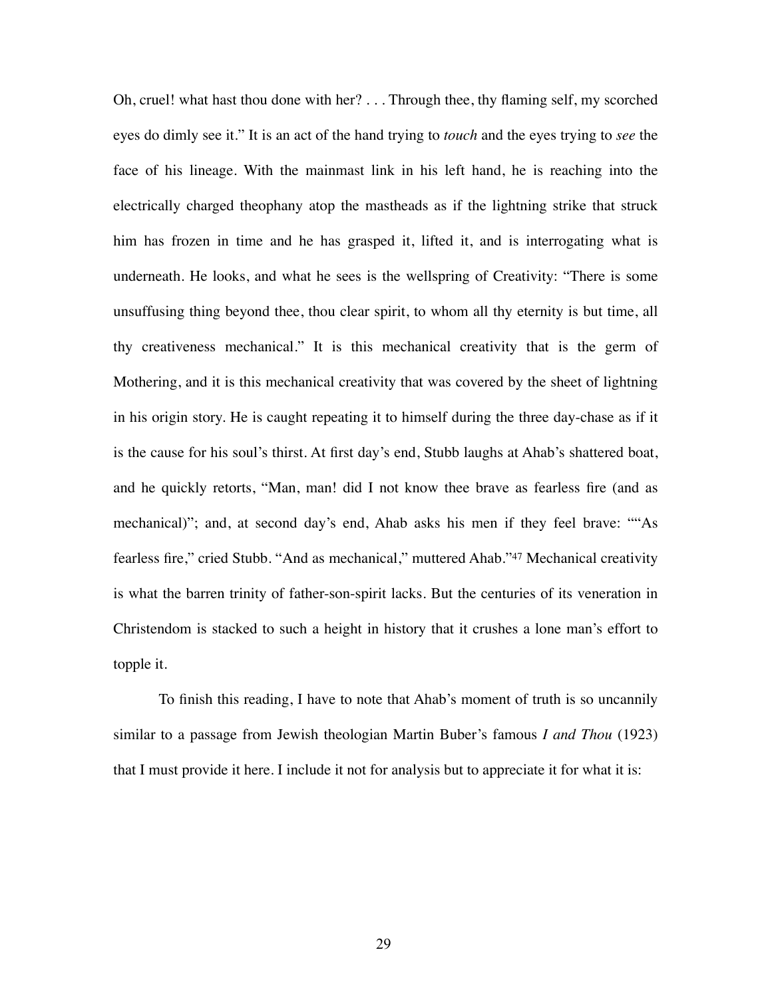Oh, cruel! what hast thou done with her? . . . Through thee, thy flaming self, my scorched eyes do dimly see it." It is an act of the hand trying to *touch* and the eyes trying to *see* the face of his lineage. With the mainmast link in his left hand, he is reaching into the electrically charged theophany atop the mastheads as if the lightning strike that struck him has frozen in time and he has grasped it, lifted it, and is interrogating what is underneath. He looks, and what he sees is the wellspring of Creativity: "There is some unsuffusing thing beyond thee, thou clear spirit, to whom all thy eternity is but time, all thy creativeness mechanical." It is this mechanical creativity that is the germ of Mothering, and it is this mechanical creativity that was covered by the sheet of lightning in his origin story. He is caught repeating it to himself during the three day-chase as if it is the cause for his soul's thirst. At first day's end, Stubb laughs at Ahab's shattered boat, and he quickly retorts, "Man, man! did I not know thee brave as fearless fire (and as mechanical)"; and, at second day's end, Ahab asks his men if they feel brave: ""As fearless fire,["](#page-42-4) cried Stubb. "And as mechanical," muttered Ahab."[47](#page-42-4) Mechanical creativity is what the barren trinity of father-son-spirit lacks. But the centuries of its veneration in Christendom is stacked to such a height in history that it crushes a lone man's effort to topple it.

<span id="page-35-0"></span>To finish this reading, I have to note that Ahab's moment of truth is so uncannily similar to a passage from Jewish theologian Martin Buber's famous *I and Thou* (1923) that I must provide it here. I include it not for analysis but to appreciate it for what it is: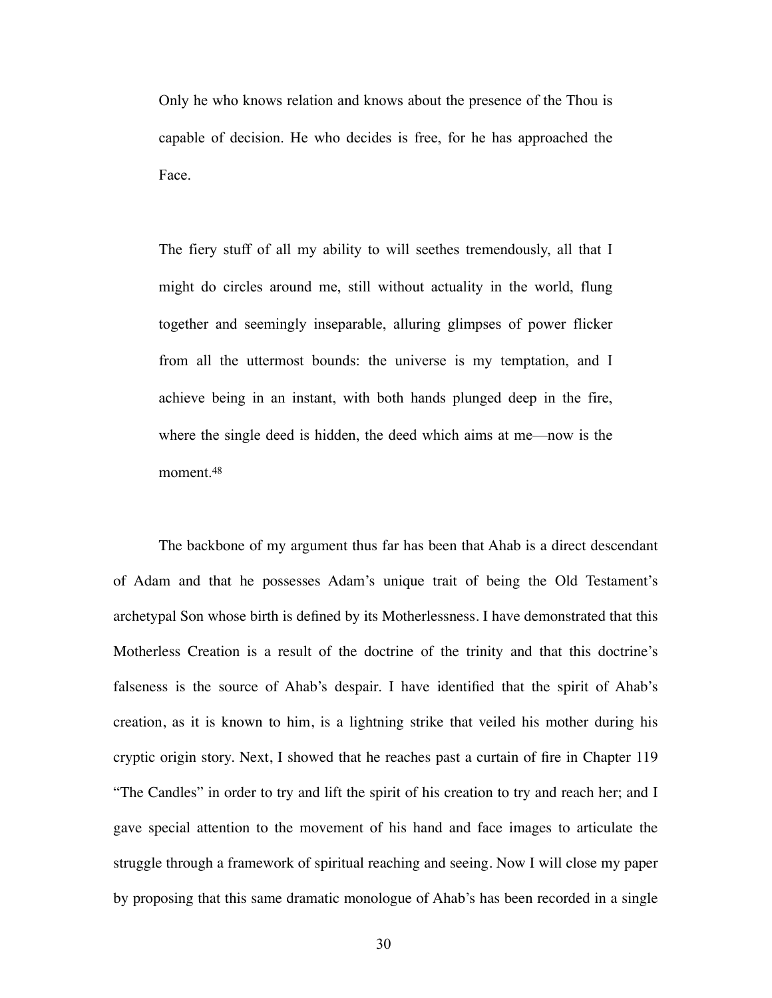Only he who knows relation and knows about the presence of the Thou is capable of decision. He who decides is free, for he has approached the Face.

The fiery stuff of all my ability to will seethes tremendously, all that I might do circles around me, still without actuality in the world, flung together and seemingly inseparable, alluring glimpses of power flicker from all the uttermost bounds: the universe is my temptation, and I achieve being in an instant, with both hands plunged deep in the fire, where the single deed is hidden, the deed which aims at me—now is the moment[.48](#page-42-5)

<span id="page-36-0"></span>The backbone of my argument thus far has been that Ahab is a direct descendant of Adam and that he possesses Adam's unique trait of being the Old Testament's archetypal Son whose birth is defined by its Motherlessness. I have demonstrated that this Motherless Creation is a result of the doctrine of the trinity and that this doctrine's falseness is the source of Ahab's despair. I have identified that the spirit of Ahab's creation, as it is known to him, is a lightning strike that veiled his mother during his cryptic origin story. Next, I showed that he reaches past a curtain of fire in Chapter 119 "The Candles" in order to try and lift the spirit of his creation to try and reach her; and I gave special attention to the movement of his hand and face images to articulate the struggle through a framework of spiritual reaching and seeing. Now I will close my paper by proposing that this same dramatic monologue of Ahab's has been recorded in a single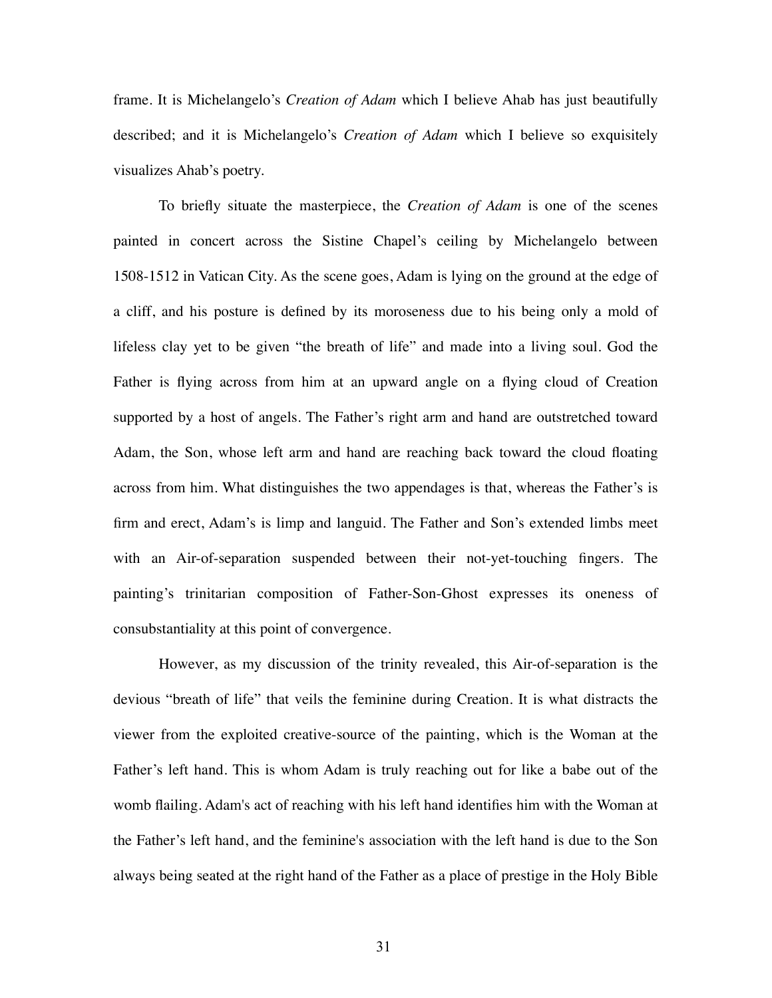frame. It is Michelangelo's *Creation of Adam* which I believe Ahab has just beautifully described; and it is Michelangelo's *Creation of Adam* which I believe so exquisitely visualizes Ahab's poetry.

To briefly situate the masterpiece, the *Creation of Adam* is one of the scenes painted in concert across the Sistine Chapel's ceiling by Michelangelo between 1508-1512 in Vatican City. As the scene goes, Adam is lying on the ground at the edge of a cliff, and his posture is defined by its moroseness due to his being only a mold of lifeless clay yet to be given "the breath of life" and made into a living soul. God the Father is flying across from him at an upward angle on a flying cloud of Creation supported by a host of angels. The Father's right arm and hand are outstretched toward Adam, the Son, whose left arm and hand are reaching back toward the cloud floating across from him. What distinguishes the two appendages is that, whereas the Father's is firm and erect, Adam's is limp and languid. The Father and Son's extended limbs meet with an Air-of-separation suspended between their not-yet-touching fingers. The painting's trinitarian composition of Father-Son-Ghost expresses its oneness of consubstantiality at this point of convergence.

However, as my discussion of the trinity revealed, this Air-of-separation is the devious "breath of life" that veils the feminine during Creation. It is what distracts the viewer from the exploited creative-source of the painting, which is the Woman at the Father's left hand. This is whom Adam is truly reaching out for like a babe out of the womb flailing. Adam's act of reaching with his left hand identifies him with the Woman at the Father's left hand, and the feminine's association with the left hand is due to the Son always being seated at the right hand of the Father as a place of prestige in the Holy Bible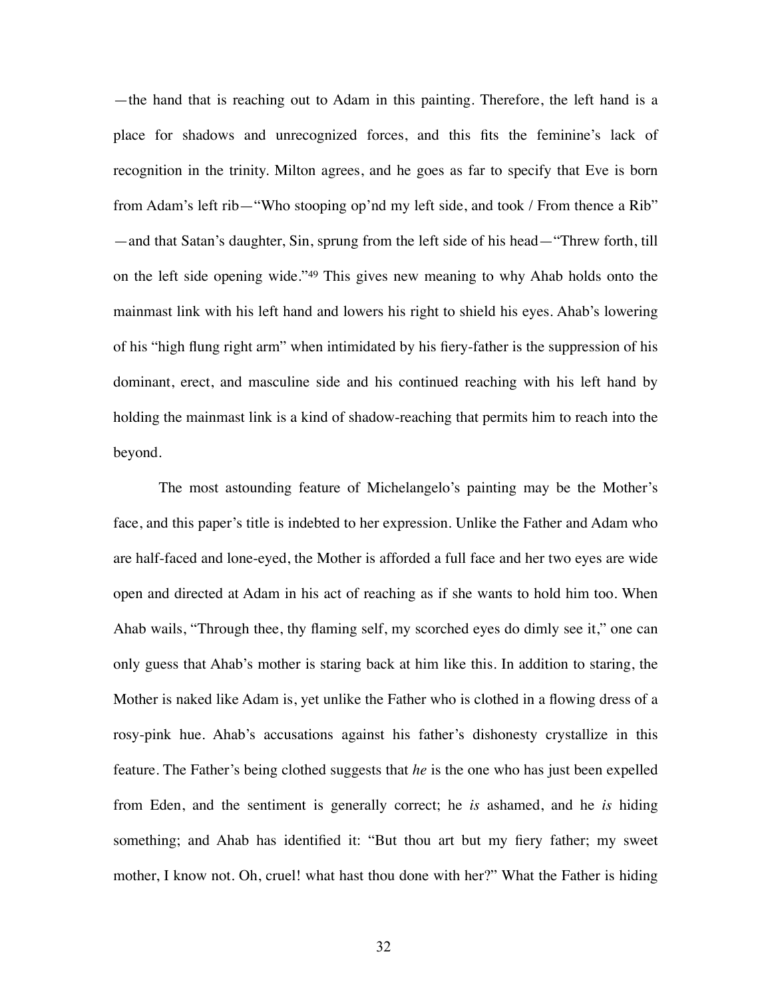<span id="page-38-0"></span>—the hand that is reaching out to Adam in this painting. Therefore, the left hand is a place for shadows and unrecognized forces, and this fits the feminine's lack of recognition in the trinity. Milton agrees, and he goes as far to specify that Eve is born from Adam's left rib—"Who stooping op'nd my left side, and took / From thence a Rib" —and that Satan's daughter, Sin, sprung from the left side of his head—"Threw forth, till on the left side opening wide.["](#page-42-6)<sup>[49](#page-42-6)</sup> This gives new meaning to why Ahab holds onto the mainmast link with his left hand and lowers his right to shield his eyes. Ahab's lowering of his "high flung right arm" when intimidated by his fiery-father is the suppression of his dominant, erect, and masculine side and his continued reaching with his left hand by holding the mainmast link is a kind of shadow-reaching that permits him to reach into the beyond.

The most astounding feature of Michelangelo's painting may be the Mother's face, and this paper's title is indebted to her expression. Unlike the Father and Adam who are half-faced and lone-eyed, the Mother is afforded a full face and her two eyes are wide open and directed at Adam in his act of reaching as if she wants to hold him too. When Ahab wails, "Through thee, thy flaming self, my scorched eyes do dimly see it," one can only guess that Ahab's mother is staring back at him like this. In addition to staring, the Mother is naked like Adam is, yet unlike the Father who is clothed in a flowing dress of a rosy-pink hue. Ahab's accusations against his father's dishonesty crystallize in this feature. The Father's being clothed suggests that *he* is the one who has just been expelled from Eden, and the sentiment is generally correct; he *is* ashamed, and he *is* hiding something; and Ahab has identified it: "But thou art but my fiery father; my sweet mother, I know not. Oh, cruel! what hast thou done with her?" What the Father is hiding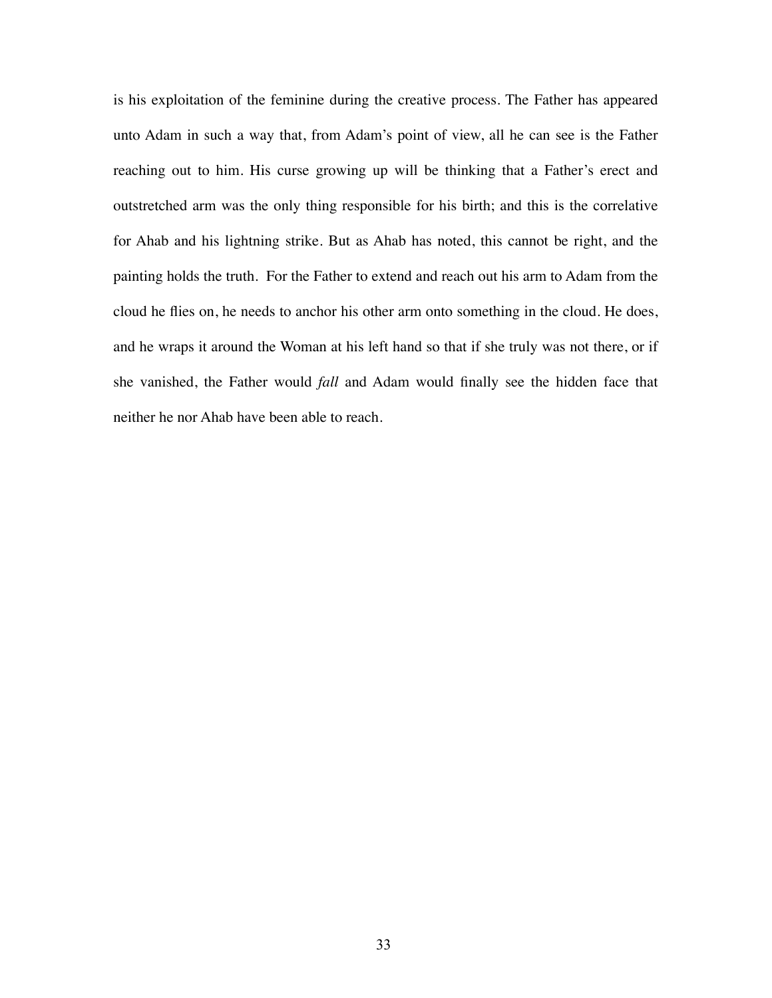is his exploitation of the feminine during the creative process. The Father has appeared unto Adam in such a way that, from Adam's point of view, all he can see is the Father reaching out to him. His curse growing up will be thinking that a Father's erect and outstretched arm was the only thing responsible for his birth; and this is the correlative for Ahab and his lightning strike. But as Ahab has noted, this cannot be right, and the painting holds the truth. For the Father to extend and reach out his arm to Adam from the cloud he flies on, he needs to anchor his other arm onto something in the cloud. He does, and he wraps it around the Woman at his left hand so that if she truly was not there, or if she vanished, the Father would *fall* and Adam would finally see the hidden face that neither he nor Ahab have been able to reach.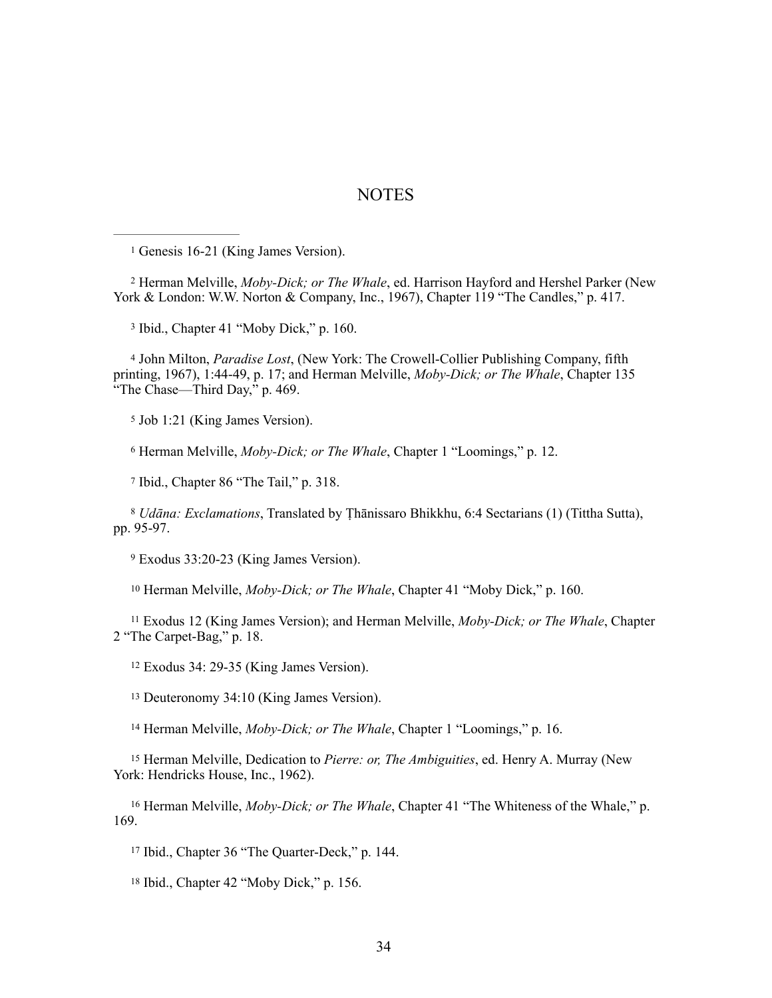### NOTES

<span id="page-40-0"></span><sup>1</sup> Genesis 16-21 (King James Version).

<span id="page-40-1"></span><sup>2</sup> Herman Melville, *Moby-Dick; or The Whale*, ed. Harrison Hayford and Hershel Parker (New York & London: W.W. Norton & Company, Inc., 1967), Chapter 119 "The Candles," p. 417.

<span id="page-40-2"></span><sup>3</sup> Ibid., Chapter 41 "Moby Dick," p. 160.

<span id="page-40-3"></span> John Milton, *Paradise Lost*, (New York: The Crowell-Collier Publishing Company, fifth 4 printing, 1967), 1:44-49, p. 17; and Herman Melville, *Moby-Dick; or The Whale*, Chapter 135 "The Chase—Third Day, $\overline{p}$ " p. 469.

<span id="page-40-4"></span><sup>5</sup> Job 1:21 (King James Version).

<span id="page-40-5"></span><sup>6</sup> Herman Melville, *Moby-Dick; or The Whale*, Chapter 1 "Loomings," p. 12.

<span id="page-40-6"></span><sup>7</sup> Ibid., Chapter 86 "The Tail," p. 318.

<span id="page-40-7"></span> *Udāna: Exclamations*, Translated by Ṭhānissaro Bhikkhu, 6:4 Sectarians (1) (Tittha Sutta), [8](#page-11-0) pp. 95-97.

<span id="page-40-8"></span>Exodus 33:20-23 (King James Version). [9](#page-12-0)

<span id="page-40-9"></span><sup>10</sup> Herman Melville, *Moby-Dick; or The Whale*, Chapter 41 "Moby Dick," p. 160.

<span id="page-40-10"></span> Exodus 12 (King James Version); and Herman Melville, *Moby-Dick; or The Whale*, Chapter 11 2 "The Carpet-Bag," p. 18.

<span id="page-40-11"></span>Exodus 34: 29-35 (King James Version). <sup>12</sup>

<span id="page-40-12"></span><sup>[13](#page-15-1)</sup> Deuteronomy 34:10 (King James Version).

<span id="page-40-13"></span><sup>14</sup> Herman Melville, *Moby-Dick; or The Whale*, Chapter 1 "Loomings," p. 16.

<span id="page-40-14"></span><sup>15</sup> Herman Melville, Dedication to *Pierre: or, The Ambiguities*, ed. Henry A. Murray (New York: Hendricks House, Inc., 1962).

<span id="page-40-15"></span><sup>16</sup> Herman Melville, *Moby-Dick; or The Whale*, Chapter 41 "The Whiteness of the Whale," p. 169.

<span id="page-40-16"></span><sup>17</sup> Ibid., Chapter 36 "The Quarter-Deck," p. 144.

<span id="page-40-17"></span> $18$  Ibid., Chapter 42 "Moby Dick," p. 156.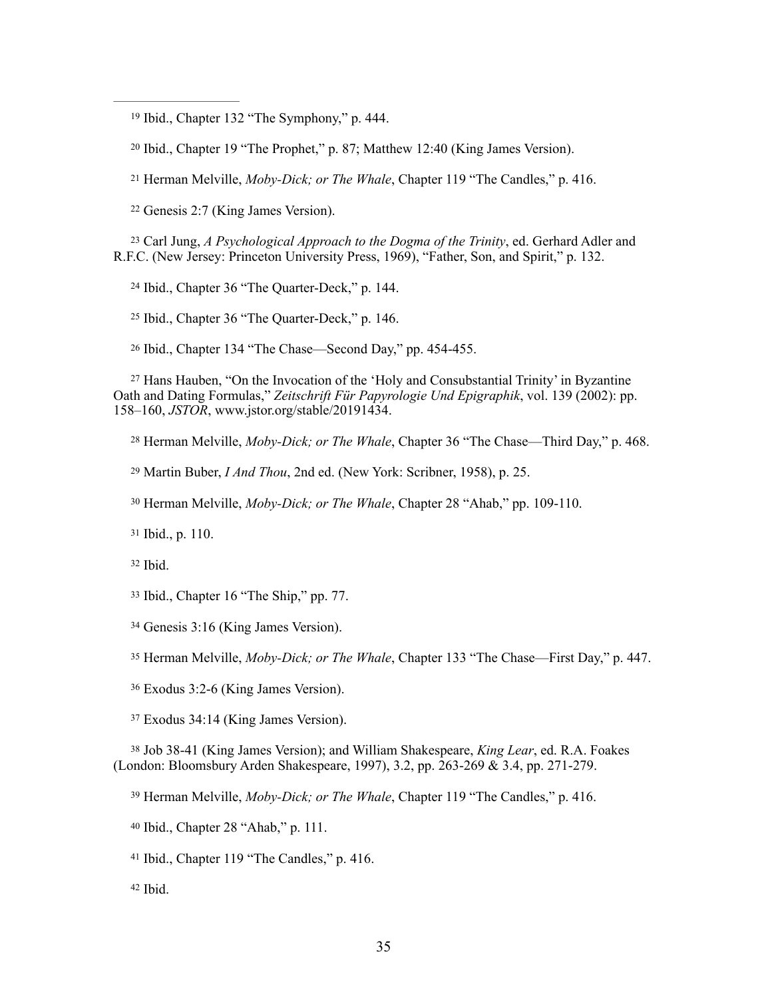<span id="page-41-0"></span><sup>19</sup> Ibid., Chapter 132 "The Symphony," p. 444.

<span id="page-41-1"></span><sup>20</sup> Ibid., Chapter 19 "The Prophet," p. 87; Matthew 12:40 (King James Version).

<span id="page-41-2"></span><sup>21</sup> Herman Melville, *Moby-Dick; or The Whale*, Chapter 119 "The Candles," p. 416.

<span id="page-41-3"></span><sup>22</sup> Genesis 2:7 (King James Version).

<span id="page-41-4"></span><sup>23</sup> Carl Jung, *A Psychological Approach to the Dogma of the Trinity*, ed. Gerhard Adler and R.F.C. (New Jersey: Princeton University Press, 1969), "Father, Son, and Spirit," p. 132.

<span id="page-41-5"></span><sup>24</sup> Ibid., Chapter 36 "The Quarter-Deck," p. 144.

<span id="page-41-6"></span><sup>25</sup> Ibid., Chapter 36 "The Quarter-Deck," p. 146.

<span id="page-41-7"></span><sup>26</sup> Ibid., Chapter 134 "The Chase—Second Day," pp. 454-455.

<span id="page-41-8"></span><sup>[27](#page-24-0)</sup> Hans Hauben, "On the Invocation of the 'Holy and Consubstantial Trinity' in Byzantine Oath and Dating Formulas," *Zeitschrift Für Papyrologie Und Epigraphik*, vol. 139 (2002): pp. 158–160, *JSTOR*, www.jstor.org/stable/20191434.

<span id="page-41-9"></span><sup>28</sup> Herman Melville, *Moby-Dick; or The Whale*, Chapter 36 "The Chase—Third Day," p. 468.

<span id="page-41-10"></span><sup>29</sup> Martin Buber, *I And Thou*, 2nd ed. (New York: Scribner, 1958), p. 25.

<span id="page-41-11"></span><sup>30</sup> Herman Melville, *Moby-Dick; or The Whale*, Chapter 28 "Ahab," pp. 109-110.

<span id="page-41-12"></span><sup>31</sup> Ibid., p. 110.

<span id="page-41-13"></span> $32$  Ibid.

<span id="page-41-14"></span><sup>33</sup> Ibid., Chapter 16 "The Ship," pp. 77.

<span id="page-41-15"></span><sup>[34](#page-26-0)</sup> Genesis 3:16 (King James Version).

<span id="page-41-16"></span><sup>35</sup> Herman Melville, *Moby-Dick; or The Whale*, Chapter 133 "The Chase—First Day," p. 447.

<span id="page-41-17"></span>Exodus 3:2-6 (King James Version). [36](#page-29-0)

<span id="page-41-18"></span>Exodus 34:14 (King James Version). [37](#page-29-1)

<span id="page-41-19"></span> Job 38-41 (King James Version); and William Shakespeare, *King Lear*, ed. R.A. Foakes 38 (London: Bloomsbury Arden Shakespeare, 1997), 3.2, pp. 263-269 & 3.4, pp. 271-279.

<span id="page-41-20"></span><sup>39</sup> Herman Melville, *Moby-Dick; or The Whale*, Chapter 119 "The Candles," p. 416.

<span id="page-41-21"></span><sup>40</sup> Ibid., Chapter 28 "Ahab," p. 111.

<span id="page-41-22"></span> $41$  Ibid., Chapter 119 "The Candles," p. 416.

<span id="page-41-23"></span> $42$  Ibid.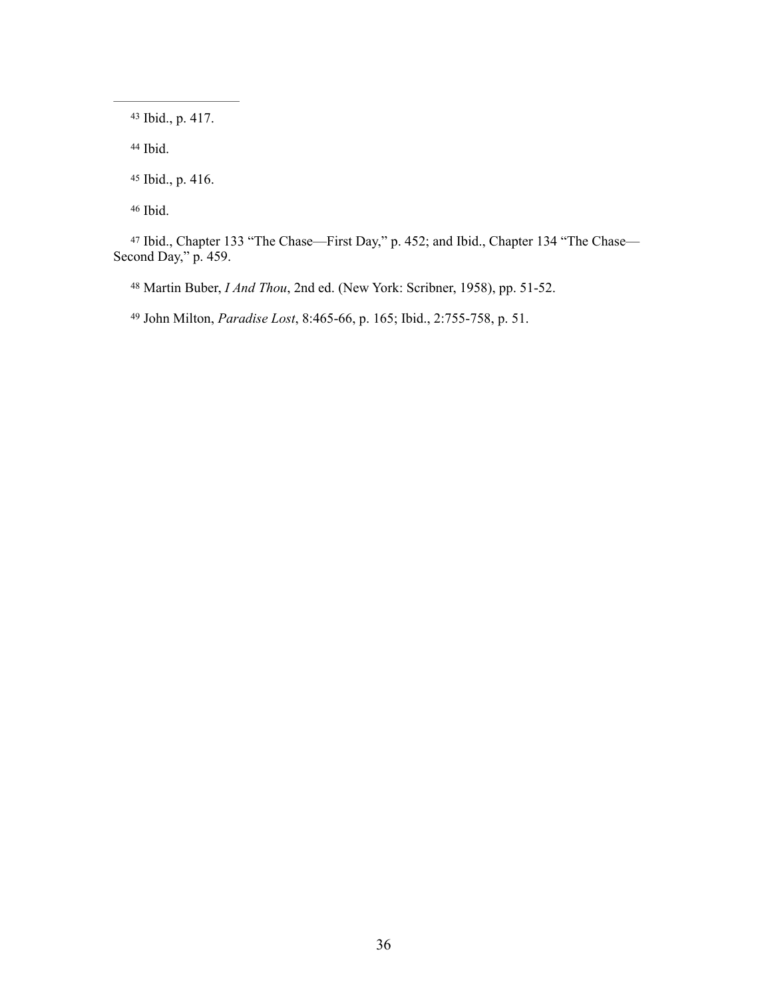<span id="page-42-0"></span>43 Ibid., p. 417.

<span id="page-42-1"></span>44 Ibid.

<span id="page-42-2"></span><sup>45</sup> Ibid., p. 416.

<span id="page-42-3"></span>46 Ibid.

<span id="page-42-4"></span> [47](#page-35-0) Ibid., Chapter 133 "The Chase—First Day," p. 452; and Ibid., Chapter 134 "The Chase— Second Day," p. 459.

<span id="page-42-5"></span><sup>48</sup> Martin Buber, *I And Thou*, 2nd ed. (New York: Scribner, 1958), pp. 51-52.

<span id="page-42-6"></span><sup>49</sup> John Milton, *Paradise Lost*, 8:465-66, p. 165; Ibid., 2:755-758, p. 51.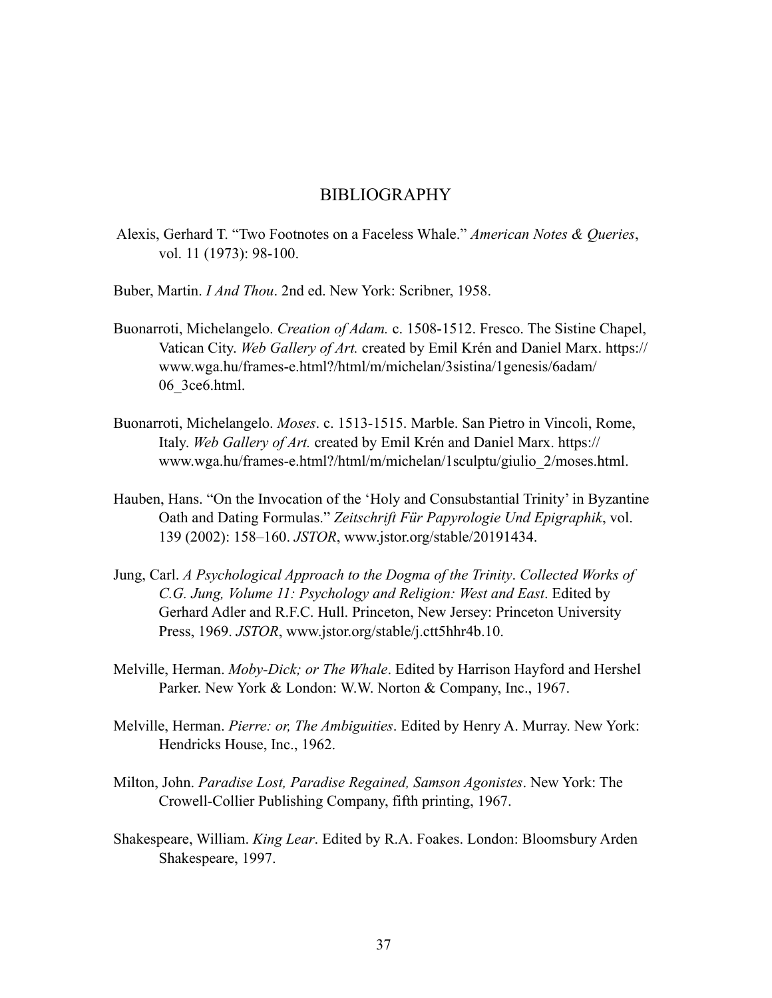### BIBLIOGRAPHY

- Alexis, Gerhard T. "Two Footnotes on a Faceless Whale." *American Notes & Queries*, vol. 11 (1973): 98-100.
- Buber, Martin. *I And Thou*. 2nd ed. New York: Scribner, 1958.
- Buonarroti, Michelangelo. *Creation of Adam.* c. 1508-1512. Fresco. The Sistine Chapel, Vatican City. *Web Gallery of Art.* created by Emil Krén and Daniel Marx. https:// www.wga.hu/frames-e.html?/html/m/michelan/3sistina/1genesis/6adam/ 06\_3ce6.html.
- Buonarroti, Michelangelo. *Moses*. c. 1513-1515. Marble. San Pietro in Vincoli, Rome, Italy. *Web Gallery of Art.* created by Emil Krén and Daniel Marx. https:// www.wga.hu/frames-e.html?/html/m/michelan/1sculptu/giulio\_2/moses.html.
- Hauben, Hans. "On the Invocation of the 'Holy and Consubstantial Trinity' in Byzantine Oath and Dating Formulas." *Zeitschrift Für Papyrologie Und Epigraphik*, vol. 139 (2002): 158–160. *JSTOR*, www.jstor.org/stable/20191434.
- Jung, Carl. *A Psychological Approach to the Dogma of the Trinity*. *Collected Works of C.G. Jung, Volume 11: Psychology and Religion: West and East*. Edited by Gerhard Adler and R.F.C. Hull. Princeton, New Jersey: Princeton University Press, 1969. *JSTOR*, www.jstor.org/stable/j.ctt5hhr4b.10.
- Melville, Herman. *Moby-Dick; or The Whale*. Edited by Harrison Hayford and Hershel Parker. New York & London: W.W. Norton & Company, Inc., 1967.
- Melville, Herman. *Pierre: or, The Ambiguities*. Edited by Henry A. Murray. New York: Hendricks House, Inc., 1962.
- Milton, John. *Paradise Lost, Paradise Regained, Samson Agonistes*. New York: The Crowell-Collier Publishing Company, fifth printing, 1967.
- Shakespeare, William. *King Lear*. Edited by R.A. Foakes. London: Bloomsbury Arden Shakespeare, 1997.